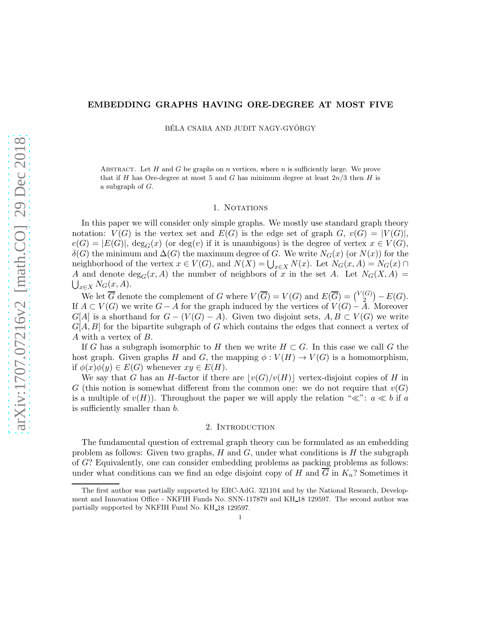## EMBEDDING GRAPHS HAVING ORE-DEGREE AT MOST FIVE

BÉLA CSABA AND JUDIT NAGY-GYÖRGY

ABSTRACT. Let  $H$  and  $G$  be graphs on  $n$  vertices, where  $n$  is sufficiently large. We prove that if H has Ore-degree at most 5 and G has minimum degree at least  $2n/3$  then H is a subgraph of G.

#### 1. NOTATIONS

In this paper we will consider only simple graphs. We mostly use standard graph theory notation:  $V(G)$  is the vertex set and  $E(G)$  is the edge set of graph G,  $v(G) = |V(G)|$ ,  $e(G) = |E(G)|$ ,  $deg_G(x)$  (or  $deg(v)$  if it is unambigous) is the degree of vertex  $x \in V(G)$ , δ(G) the minimum and  $\Delta(G)$  the maximum degree of G. We write  $N_G(x)$  (or  $N(x)$ ) for the neighborhood of the vertex  $x \in V(G)$ , and  $N(X) = \bigcup_{x \in X} N(x)$ . Let  $N_G(x, A) = N_G(x) \cap$ A and denote  $\deg_G(x, A)$  the number of neighbors of x in the set A. Let  $N_G(X, A)$  $\bigcup_{x\in X}N_G(x,A).$ 

We let  $\overline{G}$  denote the complement of G where  $V(\overline{G}) = V(G)$  and  $E(\overline{G}) = {V(G) \choose 2}$  $\binom{G}{2}$  –  $E(G)$ . If  $A \subset V(G)$  we write  $G - A$  for the graph induced by the vertices of  $V(G) - A$ . Moreover  $G[A]$  is a shorthand for  $G - (V(G) - A)$ . Given two disjoint sets,  $A, B \subset V(G)$  we write  $G[A, B]$  for the bipartite subgraph of G which contains the edges that connect a vertex of A with a vertex of B.

If G has a subgraph isomorphic to H then we write  $H \subset G$ . In this case we call G the host graph. Given graphs H and G, the mapping  $\phi: V(H) \to V(G)$  is a homomorphism, if  $\phi(x)\phi(y) \in E(G)$  whenever  $xy \in E(H)$ .

We say that G has an H-factor if there are  $|v(G)/v(H)|$  vertex-disjoint copies of H in G (this notion is somewhat different from the common one: we do not require that  $v(G)$ ) is a multiple of  $v(H)$ ). Throughout the paper we will apply the relation "≪":  $a \ll b$  if a is sufficiently smaller than b.

## 2. INTRODUCTION

The fundamental question of extremal graph theory can be formulated as an embedding problem as follows: Given two graphs,  $H$  and  $G$ , under what conditions is  $H$  the subgraph of G? Equivalently, one can consider embedding problems as packing problems as follows: under what conditions can we find an edge disjoint copy of H and G in  $K_n$ ? Sometimes it

The first author was partially supported by ERC-AdG. 321104 and by the National Research, Development and Innovation Office - NKFIH Funds No. SNN-117879 and KH 18 129597. The second author was partially supported by NKFIH Fund No. KH 18 129597.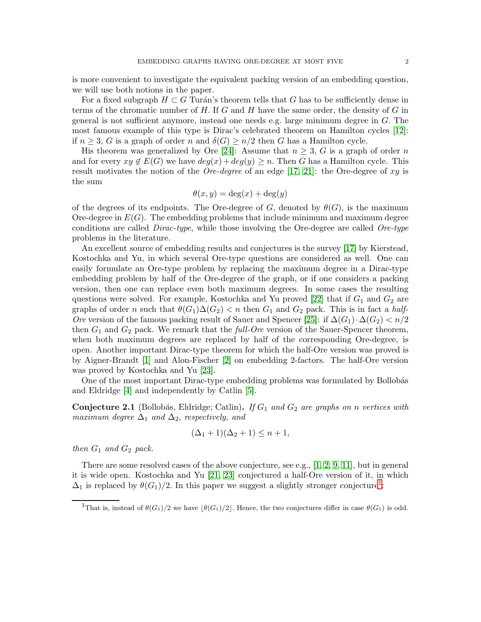is more convenient to investigate the equivalent packing version of an embedding question, we will use both notions in the paper.

For a fixed subgraph  $H \subset G$  Turán's theorem tells that G has to be sufficiently dense in terms of the chromatic number of  $H$ . If  $G$  and  $H$  have the same order, the density of  $G$  in general is not sufficient anymore, instead one needs e.g. large minimum degree in G. The most famous example of this type is Dirac's celebrated theorem on Hamilton cycles [\[12\]](#page-38-0): if  $n \geq 3$ , G is a graph of order n and  $\delta(G) \geq n/2$  then G has a Hamilton cycle.

His theorem was generalized by Ore [\[24\]](#page-39-0): Assume that  $n \geq 3$ , G is a graph of order n and for every  $xy \notin E(G)$  we have  $deg(x) + deg(y) \geq n$ . Then G has a Hamilton cycle. This result motivates the notion of the *Ore-degree* of an edge [\[17,](#page-38-1) [21\]](#page-38-2): the Ore-degree of xy is the sum

$$
\theta(x, y) = \deg(x) + \deg(y)
$$

of the degrees of its endpoints. The Ore-degree of G, denoted by  $\theta(G)$ , is the maximum Ore-degree in  $E(G)$ . The embedding problems that include minimum and maximum degree conditions are called Dirac-type, while those involving the Ore-degree are called Ore-type problems in the literature.

An excellent source of embedding results and conjectures is the survey [\[17\]](#page-38-1) by Kierstead, Kostochka and Yu, in which several Ore-type questions are considered as well. One can easily formulate an Ore-type problem by replacing the maximum degree in a Dirac-type embedding problem by half of the Ore-degree of the graph, or if one considers a packing version, then one can replace even both maximum degrees. In some cases the resulting questions were solved. For example, Kostochka and Yu proved [\[22\]](#page-38-3) that if  $G_1$  and  $G_2$  are graphs of order n such that  $\theta(G_1)\Delta(G_2)$  < n then  $G_1$  and  $G_2$  pack. This is in fact a half-Ore version of the famous packing result of Sauer and Spencer [\[25\]](#page-39-1): if  $\Delta(G_1) \cdot \Delta(G_2) < n/2$ then  $G_1$  and  $G_2$  pack. We remark that the *full-Ore* version of the Sauer-Spencer theorem, when both maximum degrees are replaced by half of the corresponding Ore-degree, is open. Another important Dirac-type theorem for which the half-Ore version was proved is by Aigner-Brandt [\[1\]](#page-38-4) and Alon-Fischer [\[2\]](#page-38-5) on embedding 2-factors. The half-Ore version was proved by Kostochka and Yu [\[23\]](#page-38-6).

One of the most important Dirac-type embedding problems was formulated by Bollobás and Eldridge [\[4\]](#page-38-7) and independently by Catlin [\[5\]](#page-38-8).

**Conjecture 2.1** (Bollobás, Eldridge; Catlin). If  $G_1$  and  $G_2$  are graphs on n vertices with maximum degree  $\Delta_1$  and  $\Delta_2$ , respectively, and

$$
(\Delta_1 + 1)(\Delta_2 + 1) \le n + 1,
$$

then  $G_1$  and  $G_2$  pack.

There are some resolved cases of the above conjecture, see e.g., [\[1,](#page-38-4) [2,](#page-38-5) [9,](#page-38-9) [11\]](#page-38-10), but in general it is wide open. Kostochka and Yu [\[21,](#page-38-2) [23\]](#page-38-6) conjectured a half-Ore version of it, in which  $\Delta_1$  $\Delta_1$  is replaced by  $\theta(G_1)/2$ . In this paper we suggest a slightly stronger conjecture<sup>1</sup>:

<span id="page-1-0"></span><sup>&</sup>lt;sup>1</sup>That is, instead of  $\theta(G_1)/2$  we have  $|\theta(G_1)/2|$ . Hence, the two conjectures differ in case  $\theta(G_1)$  is odd.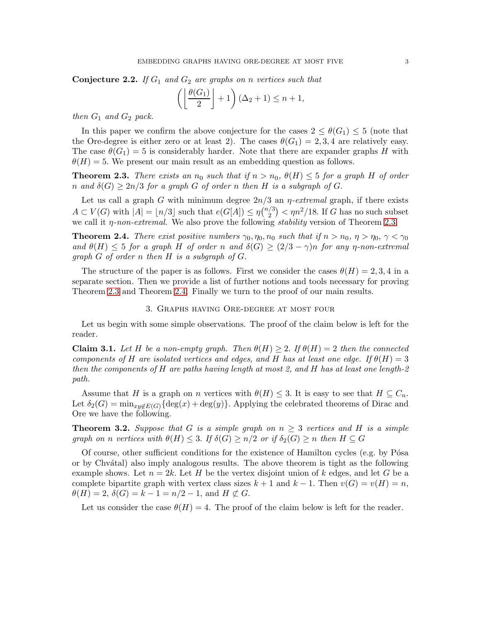<span id="page-2-2"></span>**Conjecture 2.2.** If  $G_1$  and  $G_2$  are graphs on n vertices such that

$$
\left(\left\lfloor \frac{\theta(G_1)}{2} \right\rfloor + 1\right) (\Delta_2 + 1) \le n + 1,
$$

then  $G_1$  and  $G_2$  pack.

In this paper we confirm the above conjecture for the cases  $2 \leq \theta(G_1) \leq 5$  (note that the Ore-degree is either zero or at least 2). The cases  $\theta(G_1) = 2, 3, 4$  are relatively easy. The case  $\theta(G_1) = 5$  is considerably harder. Note that there are expander graphs H with  $\theta(H) = 5$ . We present our main result as an embedding question as follows.

<span id="page-2-0"></span>**Theorem 2.3.** There exists an  $n_0$  such that if  $n > n_0$ ,  $\theta(H) \leq 5$  for a graph H of order n and  $\delta(G) \geq 2n/3$  for a graph G of order n then H is a subgraph of G.

Let us call a graph G with minimum degree  $2n/3$  an  $\eta$ -extremal graph, if there exists  $A \subset V(G)$  with  $|A| = \lfloor n/3 \rfloor$  such that  $e(G[A]) \leq \eta \binom{n/3}{2}$  $\binom{2}{2}$  <  $\eta n^2/18$ . If G has no such subset we call it  $\eta$ -non-extremal. We also prove the following stability version of Theorem [2.3.](#page-2-0)

<span id="page-2-1"></span>**Theorem 2.4.** There exist positive numbers  $\gamma_0, \eta_0, n_0$  such that if  $n > n_0$ ,  $\eta > \eta_0$ ,  $\gamma < \gamma_0$ and  $\theta(H) \leq 5$  for a graph H of order n and  $\delta(G) \geq (2/3 - \gamma)n$  for any n-non-extremal graph G of order n then H is a subgraph of G.

The structure of the paper is as follows. First we consider the cases  $\theta(H) = 2, 3, 4$  in a separate section. Then we provide a list of further notions and tools necessary for proving Theorem [2.3](#page-2-0) and Theorem [2.4.](#page-2-1) Finally we turn to the proof of our main results.

#### 3. Graphs having Ore-degree at most four

Let us begin with some simple observations. The proof of the claim below is left for the reader.

**Claim 3.1.** Let H be a non-empty graph. Then  $\theta(H) \geq 2$ . If  $\theta(H) = 2$  then the connected components of H are isolated vertices and edges, and H has at least one edge. If  $\theta(H) = 3$ then the components of H are paths having length at most 2, and H has at least one length-2 path.

Assume that H is a graph on n vertices with  $\theta(H) \leq 3$ . It is easy to see that  $H \subseteq C_n$ . Let  $\delta_2(G) = \min_{xy \notin E(G)} {\rm deg}(x) + \deg(y)$ . Applying the celebrated theorems of Dirac and Ore we have the following.

**Theorem 3.2.** Suppose that G is a simple graph on  $n > 3$  vertices and H is a simple graph on n vertices with  $\theta(H) \leq 3$ . If  $\delta(G) \geq n/2$  or if  $\delta_2(G) \geq n$  then  $H \subseteq G$ 

Of course, other sufficient conditions for the existence of Hamilton cycles (e.g. by Pósa or by Chv´atal) also imply analogous results. The above theorem is tight as the following example shows. Let  $n = 2k$ . Let H be the vertex disjoint union of k edges, and let G be a complete bipartite graph with vertex class sizes  $k + 1$  and  $k - 1$ . Then  $v(G) = v(H) = n$ ,  $\theta(H) = 2, \delta(G) = k - 1 = n/2 - 1, \text{ and } H \not\subset G.$ 

Let us consider the case  $\theta(H) = 4$ . The proof of the claim below is left for the reader.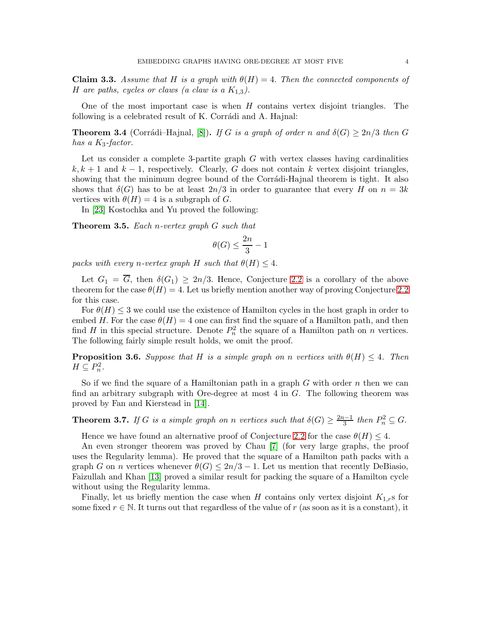**Claim 3.3.** Assume that H is a graph with  $\theta(H) = 4$ . Then the connected components of H are paths, cycles or claws (a claw is a  $K_{1,3}$ ).

One of the most important case is when  $H$  contains vertex disjoint triangles. The following is a celebrated result of K. Corrádi and A. Hajnal:

**Theorem 3.4** (Corrádi–Hajnal, [\[8\]](#page-38-11)). If G is a graph of order n and  $\delta(G) \geq 2n/3$  then G has a  $K_3$ -factor.

Let us consider a complete 3-partite graph  $G$  with vertex classes having cardinalities  $k, k + 1$  and  $k - 1$ , respectively. Clearly, G does not contain k vertex disjoint triangles, showing that the minimum degree bound of the Corrádi-Hajnal theorem is tight. It also shows that  $\delta(G)$  has to be at least  $2n/3$  in order to guarantee that every H on  $n = 3k$ vertices with  $\theta(H) = 4$  is a subgraph of G.

In [\[23\]](#page-38-6) Kostochka and Yu proved the following:

Theorem 3.5. Each n-vertex graph G such that

$$
\theta(G)\leq \frac{2n}{3}-1
$$

packs with every n-vertex graph H such that  $\theta(H) \leq 4$ .

Let  $G_1 = \overline{G}$ , then  $\delta(G_1) \geq 2n/3$ . Hence, Conjecture [2.2](#page-2-2) is a corollary of the above theorem for the case  $\theta(H) = 4$ . Let us briefly mention another way of proving Conjecture [2.2](#page-2-2) for this case.

For  $\theta(H) \leq 3$  we could use the existence of Hamilton cycles in the host graph in order to embed H. For the case  $\theta(H) = 4$  one can first find the square of a Hamilton path, and then find H in this special structure. Denote  $P_n^2$  the square of a Hamilton path on n vertices. The following fairly simple result holds, we omit the proof.

**Proposition 3.6.** Suppose that H is a simple graph on n vertices with  $\theta(H) \leq 4$ . Then  $H \subseteq P_n^2$ .

So if we find the square of a Hamiltonian path in a graph  $G$  with order  $n$  then we can find an arbitrary subgraph with Ore-degree at most 4 in G. The following theorem was proved by Fan and Kierstead in [\[14\]](#page-38-12).

**Theorem 3.7.** If G is a simple graph on n vertices such that  $\delta(G) \geq \frac{2n-1}{3}$  $\frac{n-1}{3}$  then  $P_n^2 \subseteq G$ .

Hence we have found an alternative proof of Conjecture [2.2](#page-2-2) for the case  $\theta(H) \leq 4$ .

An even stronger theorem was proved by Chau [\[7\]](#page-38-13) (for very large graphs, the proof uses the Regularity lemma). He proved that the square of a Hamilton path packs with a graph G on n vertices whenever  $\theta(G) \leq 2n/3 - 1$ . Let us mention that recently DeBiasio, Faizullah and Khan [\[13\]](#page-38-14) proved a similar result for packing the square of a Hamilton cycle without using the Regularity lemma.

Finally, let us briefly mention the case when H contains only vertex disjoint  $K_{1,r}$ s for some fixed  $r \in \mathbb{N}$ . It turns out that regardless of the value of r (as soon as it is a constant), it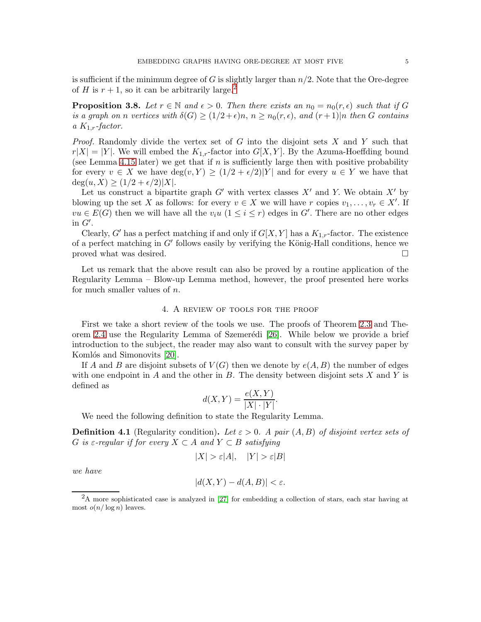is sufficient if the minimum degree of G is slightly larger than  $n/2$ . Note that the Ore-degree of H is  $r + 1$ , so it can be arbitrarily large.<sup>[2](#page-4-0)</sup>

<span id="page-4-1"></span>**Proposition 3.8.** Let  $r \in \mathbb{N}$  and  $\epsilon > 0$ . Then there exists an  $n_0 = n_0(r, \epsilon)$  such that if G is a graph on n vertices with  $\delta(G) \ge (1/2 + \epsilon)n$ ,  $n \ge n_0(r, \epsilon)$ , and  $(r + 1)|n$  then G contains a  $K_{1,r}$ -factor.

*Proof.* Randomly divide the vertex set of  $G$  into the disjoint sets  $X$  and  $Y$  such that  $r|X| = |Y|$ . We will embed the  $K_{1,r}$ -factor into  $G[X, Y]$ . By the Azuma-Hoeffding bound (see Lemma [4.15](#page-8-0) later) we get that if n is sufficiently large then with positive probability for every  $v \in X$  we have  $\deg(v, Y) \geq (1/2 + \epsilon/2)|Y|$  and for every  $u \in Y$  we have that  $\deg(u, X) \geq (1/2 + \epsilon/2)|X|.$ 

Let us construct a bipartite graph  $G'$  with vertex classes  $X'$  and Y. We obtain  $X'$  by blowing up the set X as follows: for every  $v \in X$  we will have r copies  $v_1, \ldots, v_r \in X'$ . If  $vu \in E(G)$  then we will have all the  $v_iu$   $(1 \leq i \leq r)$  edges in G'. There are no other edges in  $G'$ .

Clearly, G' has a perfect matching if and only if  $G[X, Y]$  has a  $K_{1,r}$ -factor. The existence of a perfect matching in  $G'$  follows easily by verifying the König-Hall conditions, hence we proved what was desired.  $\square$ 

Let us remark that the above result can also be proved by a routine application of the Regularity Lemma – Blow-up Lemma method, however, the proof presented here works for much smaller values of n.

#### 4. A review of tools for the proof

First we take a short review of the tools we use. The proofs of Theorem [2.3](#page-2-0) and The-orem [2.4](#page-2-1) use the Regularity Lemma of Szemerédi [\[26\]](#page-39-2). While below we provide a brief introduction to the subject, the reader may also want to consult with the survey paper by Komlós and Simonovits [\[20\]](#page-38-15).

If A and B are disjoint subsets of  $V(G)$  then we denote by  $e(A, B)$  the number of edges with one endpoint in  $A$  and the other in  $B$ . The density between disjoint sets  $X$  and  $Y$  is defined as

$$
d(X,Y) = \frac{e(X,Y)}{|X| \cdot |Y|}.
$$

We need the following definition to state the Regularity Lemma.

**Definition 4.1** (Regularity condition). Let  $\varepsilon > 0$ . A pair  $(A, B)$  of disjoint vertex sets of G is  $\varepsilon$ -regular if for every  $X \subset A$  and  $Y \subset B$  satisfying

$$
|X| > \varepsilon |A|, \quad |Y| > \varepsilon |B|
$$

we have

$$
|d(X,Y) - d(A,B)| < \varepsilon.
$$

<span id="page-4-0"></span><sup>2</sup>A more sophisticated case is analyzed in [\[27\]](#page-39-3) for embedding a collection of stars, each star having at most  $o(n/\log n)$  leaves.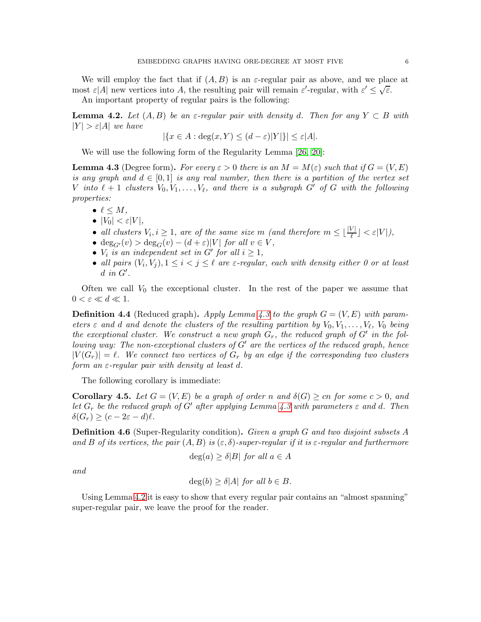We will employ the fact that if  $(A, B)$  is an  $\varepsilon$ -regular pair as above, and we place at most  $\varepsilon$ |A| new vertices into A, the resulting pair will remain  $\varepsilon'$ -regular, with  $\varepsilon' \leq \sqrt{\varepsilon}$ .

An important property of regular pairs is the following:

<span id="page-5-1"></span>**Lemma 4.2.** Let  $(A, B)$  be an  $\varepsilon$ -regular pair with density d. Then for any  $Y \subset B$  with  $|Y| > \varepsilon |A|$  we have

$$
|\{x \in A : \deg(x, Y) \le (d - \varepsilon)|Y|\}| \le \varepsilon |A|.
$$

We will use the following form of the Regularity Lemma [\[26,](#page-39-2) [20\]](#page-38-15):

<span id="page-5-0"></span>**Lemma 4.3** (Degree form). For every  $\varepsilon > 0$  there is an  $M = M(\varepsilon)$  such that if  $G = (V, E)$ is any graph and  $d \in [0, 1]$  is any real number, then there is a partition of the vertex set V into  $\ell + 1$  clusters  $V_0, V_1, \ldots, V_{\ell}$ , and there is a subgraph G' of G with the following properties:

- $\bullet \ell \leq M,$
- $|V_0| < \varepsilon |V|$ ,
- all clusters  $V_i, i \geq 1$ , are of the same size m (and therefore  $m \leq \lfloor \frac{|V|}{\ell} \rfloor < \varepsilon |V|$ ),
- deg<sub>G'</sub> $(v)$  > deg<sub>G</sub> $(v) (d + \varepsilon)|V|$  for all  $v \in V$ ,
- $V_i$  is an independent set in G' for all  $i \geq 1$ ,
- all pairs  $(V_i, V_j), 1 \leq i < j \leq \ell$  are  $\varepsilon$ -regular, each with density either 0 or at least  $d$  in  $G'$ .

Often we call  $V_0$  the exceptional cluster. In the rest of the paper we assume that  $0 < \varepsilon \ll d \ll 1$ .

**Definition 4.4** (Reduced graph). Apply Lemma [4.3](#page-5-0) to the graph  $G = (V, E)$  with parameters  $\varepsilon$  and d and denote the clusters of the resulting partition by  $V_0, V_1, \ldots, V_\ell$ ,  $V_0$  being the exceptional cluster. We construct a new graph  $G_r$ , the reduced graph of  $G'$  in the following way: The non-exceptional clusters of  $G'$  are the vertices of the reduced graph, hence  $|V(G_r)| = \ell$ . We connect two vertices of  $G_r$  by an edge if the corresponding two clusters form an  $\varepsilon$ -regular pair with density at least d.

The following corollary is immediate:

<span id="page-5-2"></span>**Corollary 4.5.** Let  $G = (V, E)$  be a graph of order n and  $\delta(G) \geq cn$  for some  $c > 0$ , and let  $G_r$  be the reduced graph of G' after applying Lemma [4.3](#page-5-0) with parameters  $\varepsilon$  and d. Then  $\delta(G_r) \geq (c - 2\varepsilon - d)\ell$ .

**Definition 4.6** (Super-Regularity condition). Given a graph G and two disjoint subsets A and B of its vertices, the pair  $(A, B)$  is  $(\varepsilon, \delta)$ -super-regular if it is  $\varepsilon$ -regular and furthermore

$$
\deg(a) \ge \delta |B| \text{ for all } a \in A
$$

and

$$
\deg(b) \ge \delta |A| \text{ for all } b \in B.
$$

Using Lemma [4.2](#page-5-1) it is easy to show that every regular pair contains an "almost spanning" super-regular pair, we leave the proof for the reader.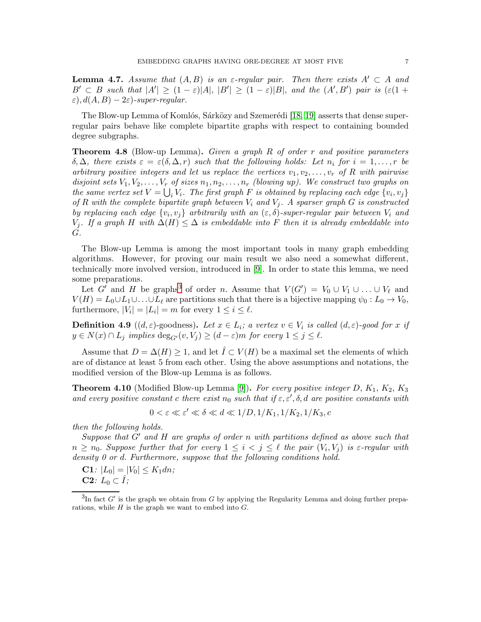<span id="page-6-1"></span>**Lemma 4.7.** Assume that  $(A, B)$  is an  $\varepsilon$ -regular pair. Then there exists  $A' \subset A$  and  $B' \subset B$  such that  $|A'| \geq (1-\varepsilon)|A|, |B'| \geq (1-\varepsilon)|B|$ , and the  $(A',B')$  pair is  $(\varepsilon(1+\varepsilon))$  $\varepsilon$ ),  $d(A, B) - 2\varepsilon$ )-super-regular.

The Blow-up Lemma of Komlós, Sárközy and Szemerédi [\[18,](#page-38-16) [19\]](#page-38-17) asserts that dense superregular pairs behave like complete bipartite graphs with respect to containing bounded degree subgraphs.

<span id="page-6-3"></span>**Theorem 4.8** (Blow-up Lemma). Given a graph R of order r and positive parameters  $\delta, \Delta$ , there exists  $\varepsilon = \varepsilon(\delta, \Delta, r)$  such that the following holds: Let  $n_i$  for  $i = 1, \ldots, r$  be arbitrary positive integers and let us replace the vertices  $v_1, v_2, \ldots, v_r$  of R with pairwise disjoint sets  $V_1, V_2, \ldots, V_r$  of sizes  $n_1, n_2, \ldots, n_r$  (blowing up). We construct two graphs on the same vertex set  $V = \bigcup_i V_i$ . The first graph F is obtained by replacing each edge  $\{v_i, v_j\}$ of R with the complete bipartite graph between  $V_i$  and  $V_j$ . A sparser graph G is constructed by replacing each edge  $\{v_i, v_j\}$  arbitrarily with an  $(\varepsilon, \delta)$ -super-regular pair between  $V_i$  and  $V_j$ . If a graph H with  $\Delta(H) \leq \Delta$  is embeddable into F then it is already embeddable into G.

The Blow-up Lemma is among the most important tools in many graph embedding algorithms. However, for proving our main result we also need a somewhat different, technically more involved version, introduced in [\[9\]](#page-38-9). In order to state this lemma, we need some preparations.

Let G' and H be graphs<sup>[3](#page-6-0)</sup> of order n. Assume that  $V(G') = V_0 \cup V_1 \cup ... \cup V_\ell$  and  $V(H) = L_0 \cup L_1 \cup \ldots \cup L_\ell$  are partitions such that there is a bijective mapping  $\psi_0 : L_0 \to V_0$ , furthermore,  $|V_i| = |L_i| = m$  for every  $1 \le i \le \ell$ .

**Definition 4.9**  $((d, \varepsilon)$ -goodness). Let  $x \in L_i$ ; a vertex  $v \in V_i$  is called  $(d, \varepsilon)$ -good for x if  $y \in N(x) \cap L_j$  implies  $\deg_{G'}(v, V_j) \geq (d - \varepsilon)m$  for every  $1 \leq j \leq \ell$ .

Assume that  $D = \Delta(H) \geq 1$ , and let  $\hat{I} \subset V(H)$  be a maximal set the elements of which are of distance at least 5 from each other. Using the above assumptions and notations, the modified version of the Blow-up Lemma is as follows.

<span id="page-6-2"></span>**Theorem 4.10** (Modified Blow-up Lemma [\[9\]](#page-38-9)). For every positive integer D,  $K_1$ ,  $K_2$ ,  $K_3$ and every positive constant c there exist  $n_0$  such that if  $\varepsilon, \varepsilon', \delta, d$  are positive constants with

$$
0 < \varepsilon \ll \varepsilon' \ll \delta \ll d \ll 1/D, \frac{1}{K_1}, \frac{1}{K_2}, \frac{1}{K_3}, c
$$

then the following holds.

Suppose that  $G'$  and  $H$  are graphs of order n with partitions defined as above such that  $n \geq n_0$ . Suppose further that for every  $1 \leq i < j \leq \ell$  the pair  $(V_i, V_j)$  is  $\varepsilon$ -regular with density 0 or d. Furthermore, suppose that the following conditions hold.

**C1**:  $|L_0| = |V_0| \leq K_1 dn;$ **C2**:  $L_0 \subset \hat{I}$ ;

<span id="page-6-0"></span> ${}^{3}\text{In}$  fact  $G'$  is the graph we obtain from G by applying the Regularity Lemma and doing further preparations, while  $H$  is the graph we want to embed into  $G$ .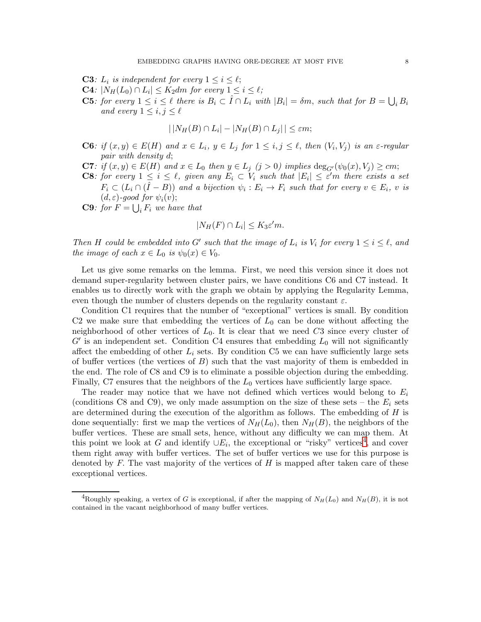- **C3**:  $L_i$  is independent for every  $1 \leq i \leq \ell$ ;
- **C4**:  $|N_H(L_0) \cap L_i| \leq K_2 dm$  for every  $1 \leq i \leq \ell$ ;
- **C5**: for every  $1 \leq i \leq \ell$  there is  $B_i \subset \hat{I} \cap L_i$  with  $|B_i| = \delta m$ , such that for  $B = \bigcup_i B_i$ and every  $1 \leq i, j \leq \ell$

$$
|\,|N_H(B)\cap L_i|-|N_H(B)\cap L_j|\,|\leq \varepsilon m;
$$

- **C6**: if  $(x, y) \in E(H)$  and  $x \in L_i$ ,  $y \in L_j$  for  $1 \leq i, j \leq \ell$ , then  $(V_i, V_j)$  is an  $\varepsilon$ -regular pair with density d;
- **C7**: if  $(x, y) \in E(H)$  and  $x \in L_0$  then  $y \in L_j$   $(j > 0)$  implies  $\deg_{G'}(\psi_0(x), V_j) \ge cm$ ;
- **C8**: for every  $1 \leq i \leq \ell$ , given any  $E_i \subset V_i$  such that  $|E_i| \leq \varepsilon'$ m there exists a set  $F_i \subset (L_i \cap (\hat{I} - B))$  and a bijection  $\psi_i : E_i \to F_i$  such that for every  $v \in E_i$ , v is  $(d, \varepsilon)$ -good for  $\psi_i(v)$ ;

**C9**: for  $F = \bigcup_i F_i$  we have that

$$
|N_H(F) \cap L_i| \le K_3 \varepsilon' m.
$$

Then H could be embedded into G' such that the image of  $L_i$  is  $V_i$  for every  $1 \leq i \leq \ell$ , and the image of each  $x \in L_0$  is  $\psi_0(x) \in V_0$ .

Let us give some remarks on the lemma. First, we need this version since it does not demand super-regularity between cluster pairs, we have conditions C6 and C7 instead. It enables us to directly work with the graph we obtain by applying the Regularity Lemma, even though the number of clusters depends on the regularity constant  $\varepsilon$ .

Condition C1 requires that the number of "exceptional" vertices is small. By condition C2 we make sure that embedding the vertices of  $L_0$  can be done without affecting the neighborhood of other vertices of  $L_0$ . It is clear that we need C3 since every cluster of  $G'$  is an independent set. Condition C4 ensures that embedding  $L_0$  will not significantly affect the embedding of other  $L_i$  sets. By condition C5 we can have sufficiently large sets of buffer vertices (the vertices of  $B$ ) such that the vast majority of them is embedded in the end. The role of C8 and C9 is to eliminate a possible objection during the embedding. Finally, C7 ensures that the neighbors of the  $L_0$  vertices have sufficiently large space.

The reader may notice that we have not defined which vertices would belong to  $E_i$ (conditions C8 and C9), we only made assumption on the size of these sets – the  $E_i$  sets are determined during the execution of the algorithm as follows. The embedding of  $H$  is done sequentially: first we map the vertices of  $N_H(L_0)$ , then  $N_H(B)$ , the neighbors of the buffer vertices. These are small sets, hence, without any difficulty we can map them. At this point we look at G and identify  $\cup E_i$ , the exceptional or "risky" vertices<sup>[4](#page-7-0)</sup>, and cover them right away with buffer vertices. The set of buffer vertices we use for this purpose is denoted by  $F$ . The vast majority of the vertices of  $H$  is mapped after taken care of these exceptional vertices.

<span id="page-7-0"></span><sup>&</sup>lt;sup>4</sup>Roughly speaking, a vertex of G is exceptional, if after the mapping of  $N_H(L_0)$  and  $N_H(B)$ , it is not contained in the vacant neighborhood of many buffer vertices.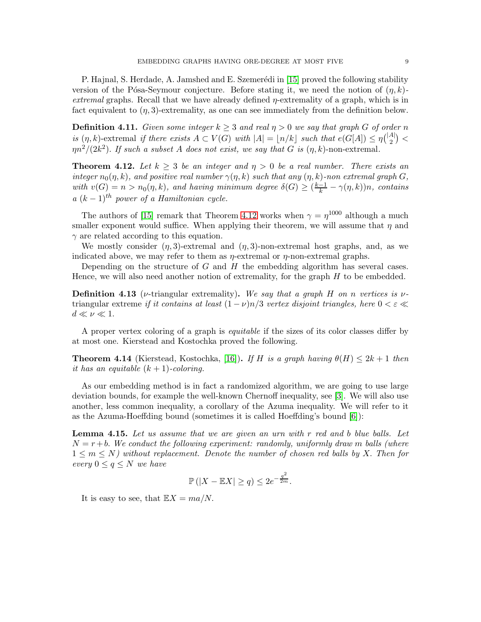P. Hajnal, S. Herdade, A. Jamshed and E. Szemerédi in [\[15\]](#page-38-18) proved the following stability version of the Pósa-Seymour conjecture. Before stating it, we need the notion of  $(\eta, k)$ extremal graphs. Recall that we have already defined  $\eta$ -extremality of a graph, which is in fact equivalent to  $(\eta, 3)$ -extremality, as one can see immediately from the definition below.

**Definition 4.11.** Given some integer  $k \geq 3$  and real  $\eta > 0$  we say that graph G of order n is  $(\eta, k)$ -extremal if there exists  $A \subset V(G)$  with  $|A| = \lfloor n/k \rfloor$  such that  $e(G[A]) \leq \eta { |A| \choose 2}$  ${A|\choose 2} <$  $\eta n^2/(2k^2)$ . If such a subset A does not exist, we say that G is  $(\eta, k)$ -non-extremal.

<span id="page-8-1"></span>**Theorem 4.12.** Let  $k \geq 3$  be an integer and  $\eta > 0$  be a real number. There exists an integer  $n_0(\eta, k)$ , and positive real number  $\gamma(\eta, k)$  such that any  $(\eta, k)$ -non extremal graph G, with  $v(G) = n > n_0(\eta, k)$ , and having minimum degree  $\delta(G) \geq \left(\frac{k-1}{k} - \gamma(\eta, k)\right)n$ , contains  $a (k-1)<sup>th</sup> power of a Hamiltonian cycle.$ 

The authors of [\[15\]](#page-38-18) remark that Theorem [4.12](#page-8-1) works when  $\gamma = \eta^{1000}$  although a much smaller exponent would suffice. When applying their theorem, we will assume that  $\eta$  and  $\gamma$  are related according to this equation.

We mostly consider  $(\eta, 3)$ -extremal and  $(\eta, 3)$ -non-extremal host graphs, and, as we indicated above, we may refer to them as  $\eta$ -extremal or  $\eta$ -non-extremal graphs.

Depending on the structure of  $G$  and  $H$  the embedding algorithm has several cases. Hence, we will also need another notion of extremality, for the graph  $H$  to be embedded.

**Definition 4.13** (*ν*-triangular extremality). We say that a graph H on n vertices is  $\nu$ triangular extreme if it contains at least  $(1 - \nu)n/3$  vertex disjoint triangles, here  $0 < \varepsilon \ll$  $d \ll \nu \ll 1$ .

A proper vertex coloring of a graph is *equitable* if the sizes of its color classes differ by at most one. Kierstead and Kostochka proved the following.

<span id="page-8-2"></span>**Theorem 4.14** (Kierstead, Kostochka, [\[16\]](#page-38-19)). If H is a graph having  $\theta(H) \leq 2k + 1$  then it has an equitable  $(k + 1)$ -coloring.

As our embedding method is in fact a randomized algorithm, we are going to use large deviation bounds, for example the well-known Chernoff inequality, see [\[3\]](#page-38-20). We will also use another, less common inequality, a corollary of the Azuma inequality. We will refer to it as the Azuma-Hoeffding bound (sometimes it is called Hoeffding's bound [\[6\]](#page-38-21)):

<span id="page-8-0"></span>**Lemma 4.15.** Let us assume that we are given an urn with  $r$  red and  $b$  blue balls. Let  $N = r + b$ . We conduct the following experiment: randomly, uniformly draw m balls (where  $1 \leq m \leq N$ ) without replacement. Denote the number of chosen red balls by X. Then for every  $0 \leq q \leq N$  we have

$$
\mathbb{P}\left(|X - \mathbb{E}X| \ge q\right) \le 2e^{-\frac{q^2}{2m}}.
$$

It is easy to see, that  $\mathbb{E}X = ma/N$ .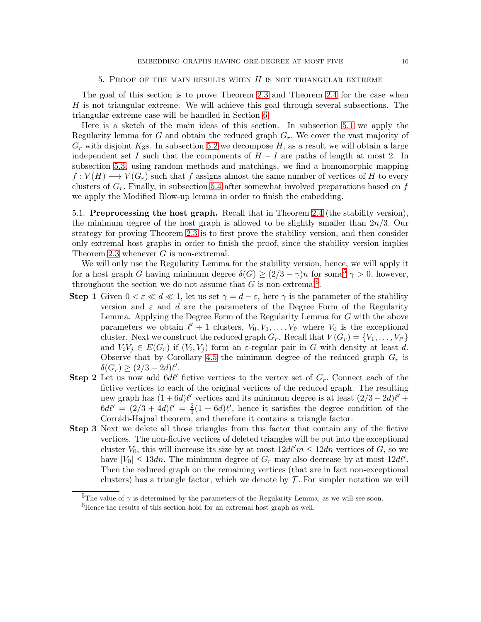#### 5. PROOF OF THE MAIN RESULTS WHEN  $H$  is not triangular extreme

The goal of this section is to prove Theorem [2.3](#page-2-0) and Theorem [2.4](#page-2-1) for the case when H is not triangular extreme. We will achieve this goal through several subsections. The triangular extreme case will be handled in Section [6.](#page-24-0)

Here is a sketch of the main ideas of this section. In subsection [5.1](#page-9-0) we apply the Regularity lemma for G and obtain the reduced graph  $G_r$ . We cover the vast majority of  $G_r$  with disjoint  $K_3$ s. In subsection [5.2](#page-10-0) we decompose H, as a result we will obtain a large independent set I such that the components of  $H - I$  are paths of length at most 2. In subsection [5.3,](#page-13-0) using random methods and matchings, we find a homomorphic mapping  $f: V(H) \longrightarrow V(G_r)$  such that f assigns almost the same number of vertices of H to every clusters of  $G_r$ . Finally, in subsection [5.4](#page-20-0) after somewhat involved preparations based on  $f$ we apply the Modified Blow-up lemma in order to finish the embedding.

<span id="page-9-0"></span>5.1. Preprocessing the host graph. Recall that in Theorem [2.4](#page-2-1) (the stability version), the minimum degree of the host graph is allowed to be slightly smaller than  $2n/3$ . Our strategy for proving Theorem [2.3](#page-2-0) is to first prove the stability version, and then consider only extremal host graphs in order to finish the proof, since the stability version implies Theorem [2.3](#page-2-0) whenever  $G$  is non-extremal.

We will only use the Regularity Lemma for the stability version, hence, we will apply it for a host graph G having minimum degree  $\delta(G) \geq (2/3 - \gamma)n$  for some  $\delta \gamma > 0$ , however, throughout the section we do not assume that G is non-extremal<sup>[6](#page-9-2)</sup>.

- **Step 1** Given  $0 < \varepsilon \ll d \ll 1$ , let us set  $\gamma = d \varepsilon$ , here  $\gamma$  is the parameter of the stability version and  $\varepsilon$  and d are the parameters of the Degree Form of the Regularity Lemma. Applying the Degree Form of the Regularity Lemma for G with the above parameters we obtain  $\ell' + 1$  clusters,  $V_0, V_1, \ldots, V_{\ell'}$  where  $V_0$  is the exceptional cluster. Next we construct the reduced graph  $G_r$ . Recall that  $V(G_r) = \{V_1, \ldots, V_{\ell'}\}$ and  $V_iV_j \in E(G_r)$  if  $(V_i, V_j)$  form an  $\varepsilon$ -regular pair in G with density at least d. Observe that by Corollary [4.5](#page-5-2) the minimum degree of the reduced graph  $G_r$  is  $\delta(G_r) \geq (2/3 - 2d)\ell'.$
- **Step 2** Let us now add  $6d\ell'$  fictive vertices to the vertex set of  $G_r$ . Connect each of the fictive vertices to each of the original vertices of the reduced graph. The resulting new graph has  $(1+6d)l'$  vertices and its minimum degree is at least  $(2/3-2d)l'$  +  $6d\ell' = (2/3 + 4d)\ell' = \frac{2}{3}$  $\frac{2}{3}(1+6d)\ell'$ , hence it satisfies the degree condition of the Corrádi-Hajnal theorem, and therefore it contains a triangle factor.
- Step 3 Next we delete all those triangles from this factor that contain any of the fictive vertices. The non-fictive vertices of deleted triangles will be put into the exceptional cluster  $V_0$ , this will increase its size by at most  $12d\ell'm \leq 12dn$  vertices of G, so we have  $|V_0| \leq 13dn$ . The minimum degree of  $G_r$  may also decrease by at most  $12d\ell'$ . Then the reduced graph on the remaining vertices (that are in fact non-exceptional clusters) has a triangle factor, which we denote by  $\mathcal T$ . For simpler notation we will

<sup>&</sup>lt;sup>5</sup>The value of  $\gamma$  is determined by the parameters of the Regularity Lemma, as we will see soon.

<span id="page-9-2"></span><span id="page-9-1"></span> ${}^{6}$ Hence the results of this section hold for an extremal host graph as well.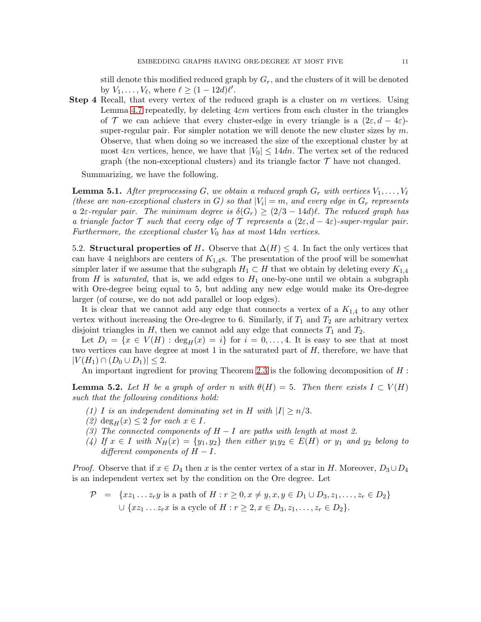still denote this modified reduced graph by  $G_r$ , and the clusters of it will be denoted by  $V_1, \ldots, V_\ell$ , where  $\ell \geq (1 - 12d)\ell'$ .

**Step 4** Recall, that every vertex of the reduced graph is a cluster on m vertices. Using Lemma [4.7](#page-6-1) repeatedly, by deleting  $4\varepsilon m$  vertices from each cluster in the triangles of T we can achieve that every cluster-edge in every triangle is a  $(2\varepsilon, d - 4\varepsilon)$ super-regular pair. For simpler notation we will denote the new cluster sizes by  $m$ . Observe, that when doing so we increased the size of the exceptional cluster by at most  $4\varepsilon n$  vertices, hence, we have that  $|V_0| \leq 14dn$ . The vertex set of the reduced graph (the non-exceptional clusters) and its triangle factor  $\mathcal T$  have not changed.

Summarizing, we have the following.

<span id="page-10-2"></span>**Lemma 5.1.** After preprocessing G, we obtain a reduced graph  $G_r$  with vertices  $V_1, \ldots, V_\ell$ (these are non-exceptional clusters in G) so that  $|V_i| = m$ , and every edge in  $G_r$  represents a 2ε-regular pair. The minimum degree is  $\delta(G_r) \geq (2/3 - 14d)\ell$ . The reduced graph has a triangle factor T such that every edge of T represents a  $(2\varepsilon, d-4\varepsilon)$ -super-regular pair. Furthermore, the exceptional cluster  $V_0$  has at most 14dn vertices.

<span id="page-10-0"></span>5.2. Structural properties of H. Observe that  $\Delta(H) \leq 4$ . In fact the only vertices that can have 4 neighbors are centers of  $K_{1,4}$ s. The presentation of the proof will be somewhat simpler later if we assume that the subgraph  $H_1 \subset H$  that we obtain by deleting every  $K_{1,4}$ from H is *saturated*, that is, we add edges to  $H_1$  one-by-one until we obtain a subgraph with Ore-degree being equal to 5, but adding any new edge would make its Ore-degree larger (of course, we do not add parallel or loop edges).

It is clear that we cannot add any edge that connects a vertex of a  $K_{1,4}$  to any other vertex without increasing the Ore-degree to 6. Similarly, if  $T_1$  and  $T_2$  are arbitrary vertex disjoint triangles in H, then we cannot add any edge that connects  $T_1$  and  $T_2$ .

Let  $D_i = \{x \in V(H) : \text{deg}_H(x) = i\}$  for  $i = 0, \ldots, 4$ . It is easy to see that at most two vertices can have degree at most 1 in the saturated part of  $H$ , therefore, we have that  $|V(H_1) \cap (D_0 \cup D_1)| \leq 2.$ 

An important ingredient for proving Theorem [2.3](#page-2-0) is the following decomposition of H:

<span id="page-10-1"></span>**Lemma 5.2.** Let H be a graph of order n with  $\theta(H) = 5$ . Then there exists  $I \subset V(H)$ such that the following conditions hold:

- (1) I is an independent dominating set in H with  $|I| \ge n/3$ .
- (2)  $deg_H(x) \leq 2$  for each  $x \in I$ .
- (3) The connected components of  $H-I$  are paths with length at most 2.
- (4) If  $x \in I$  with  $N_H(x) = \{y_1, y_2\}$  then either  $y_1y_2 \in E(H)$  or  $y_1$  and  $y_2$  belong to different components of  $H - I$ .

*Proof.* Observe that if  $x \in D_4$  then x is the center vertex of a star in H. Moreover,  $D_3 \cup D_4$ is an independent vertex set by the condition on the Ore degree. Let

$$
\mathcal{P} = \{xz_1 \dots z_r y \text{ is a path of } H : r \ge 0, x \neq y, x, y \in D_1 \cup D_3, z_1, \dots, z_r \in D_2\}
$$
  

$$
\cup \{xz_1 \dots z_r x \text{ is a cycle of } H : r \ge 2, x \in D_3, z_1, \dots, z_r \in D_2\}.
$$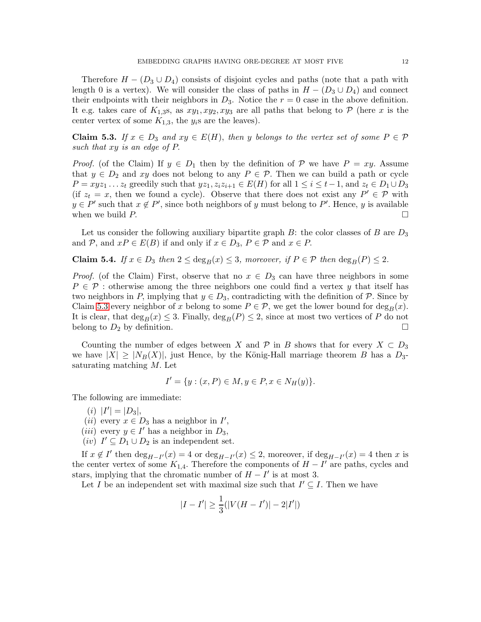Therefore  $H - (D_3 \cup D_4)$  consists of disjoint cycles and paths (note that a path with length 0 is a vertex). We will consider the class of paths in  $H - (D_3 \cup D_4)$  and connect their endpoints with their neighbors in  $D_3$ . Notice the  $r = 0$  case in the above definition. It e.g. takes care of  $K_{1,3}$ s, as  $xy_1, xy_2, xy_3$  are all paths that belong to P (here x is the center vertex of some  $K_{1,3}$ , the  $y_i$ s are the leaves).

<span id="page-11-0"></span>Claim 5.3. If  $x \in D_3$  and  $xy \in E(H)$ , then y belongs to the vertex set of some  $P \in \mathcal{P}$ such that xy is an edge of P.

*Proof.* (of the Claim) If  $y \in D_1$  then by the definition of P we have  $P = xy$ . Assume that  $y \in D_2$  and xy does not belong to any  $P \in \mathcal{P}$ . Then we can build a path or cycle  $P = xyz_1 \ldots z_t$  greedily such that  $yz_1, z_iz_{i+1} \in E(H)$  for all  $1 \leq i \leq t-1$ , and  $z_t \in D_1 \cup D_3$ (if  $z_t = x$ , then we found a cycle). Observe that there does not exist any  $P' \in \mathcal{P}$  with  $y \in P'$  such that  $x \notin P'$ , since both neighbors of y must belong to P'. Hence, y is available when we build P.  $\Box$ 

Let us consider the following auxiliary bipartite graph  $B$ : the color classes of B are  $D_3$ and P, and  $xP \in E(B)$  if and only if  $x \in D_3$ ,  $P \in \mathcal{P}$  and  $x \in P$ .

Claim 5.4. If  $x \in D_3$  then  $2 \le \deg_B(x) \le 3$ , moreover, if  $P \in \mathcal{P}$  then  $\deg_B(P) \le 2$ .

*Proof.* (of the Claim) First, observe that no  $x \in D_3$  can have three neighbors in some  $P \in \mathcal{P}$ : otherwise among the three neighbors one could find a vertex y that itself has two neighbors in P, implying that  $y \in D_3$ , contradicting with the definition of P. Since by Claim [5.3](#page-11-0) every neighbor of x belong to some  $P \in \mathcal{P}$ , we get the lower bound for  $\deg_B(x)$ . It is clear, that  $\deg_B(x) \leq 3$ . Finally,  $\deg_B(P) \leq 2$ , since at most two vertices of P do not belong to  $D_2$  by definition. belong to  $D_2$  by definition.

Counting the number of edges between X and P in B shows that for every  $X \subset D_3$ we have  $|X| \geq |N_B(X)|$ , just Hence, by the König-Hall marriage theorem B has a  $D_3$ saturating matching M. Let

$$
I' = \{ y : (x, P) \in M, y \in P, x \in N_H(y) \}.
$$

The following are immediate:

- (*i*)  $|I'| = |D_3|$ ,
- (*ii*) every  $x \in D_3$  has a neighbor in  $I'$ ,
- (*iii*) every  $y \in I'$  has a neighbor in  $D_3$ ,
- (*iv*)  $I' \subseteq D_1 \cup D_2$  is an independent set.

If  $x \notin I'$  then  $\deg_{H-I'}(x) = 4$  or  $\deg_{H-I'}(x) \leq 2$ , moreover, if  $\deg_{H-I'}(x) = 4$  then x is the center vertex of some  $K_{1,4}$ . Therefore the components of  $H - I'$  are paths, cycles and stars, implying that the chromatic number of  $H - I'$  is at most 3.

Let I be an independent set with maximal size such that  $I' \subseteq I$ . Then we have

$$
|I - I'| \ge \frac{1}{3}(|V(H - I')| - 2|I'|)
$$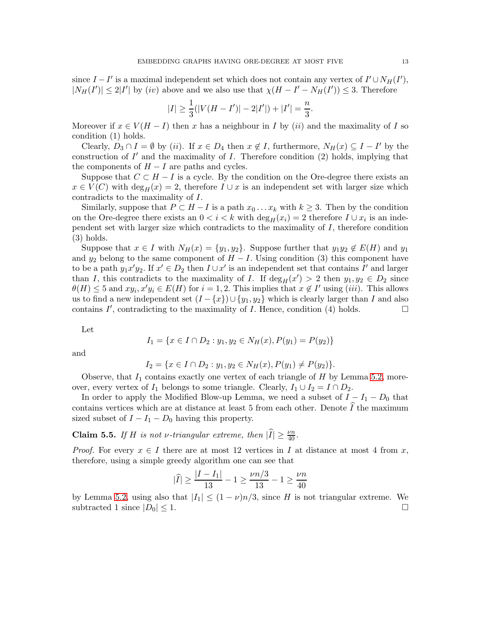since  $I - I'$  is a maximal independent set which does not contain any vertex of  $I' \cup N_H(I')$ ,  $|N_H(I')| \leq 2|I'|$  by  $(iv)$  above and we also use that  $\chi(H - I' - N_H(I')) \leq 3$ . Therefore

$$
|I| \ge \frac{1}{3}(|V(H - I')| - 2|I'|) + |I'| = \frac{n}{3}.
$$

Moreover if  $x \in V(H - I)$  then x has a neighbour in I by (ii) and the maximality of I so condition (1) holds.

Clearly,  $D_3 \cap I = \emptyset$  by (ii). If  $x \in D_4$  then  $x \notin I$ , furthermore,  $N_H(x) \subseteq I - I'$  by the construction of  $I'$  and the maximality of  $I$ . Therefore condition  $(2)$  holds, implying that the components of  $H - I$  are paths and cycles.

Suppose that  $C \subset H - I$  is a cycle. By the condition on the Ore-degree there exists an  $x \in V(C)$  with  $\deg_H(x) = 2$ , therefore  $I \cup x$  is an independent set with larger size which contradicts to the maximality of I.

Similarly, suppose that  $P \subset H - I$  is a path  $x_0 \ldots x_k$  with  $k \geq 3$ . Then by the condition on the Ore-degree there exists an  $0 < i < k$  with  $\deg_H(x_i) = 2$  therefore  $I \cup x_i$  is an independent set with larger size which contradicts to the maximality of  $I$ , therefore condition (3) holds.

Suppose that  $x \in I$  with  $N_H(x) = \{y_1, y_2\}$ . Suppose further that  $y_1y_2 \notin E(H)$  and  $y_1$ and  $y_2$  belong to the same component of  $H - I$ . Using condition (3) this component have to be a path  $y_1x'y_2$ . If  $x' \in D_2$  then  $I \cup x'$  is an independent set that contains  $I'$  and larger than I, this contradicts to the maximality of I. If  $\deg_H(x') > 2$  then  $y_1, y_2 \in D_2$  since  $\theta(H) \leq 5$  and  $xy_i, x'y_i \in E(H)$  for  $i = 1, 2$ . This implies that  $x \notin I'$  using (iii). This allows us to find a new independent set  $(I - \{x\}) \cup \{y_1, y_2\}$  which is clearly larger than I and also contains  $I'$ , contradicting to the maximality of  $I$ . Hence, condition (4) holds.

Let

$$
I_1 = \{x \in I \cap D_2 : y_1, y_2 \in N_H(x), P(y_1) = P(y_2)\}\
$$

and

$$
I_2 = \{x \in I \cap D_2 : y_1, y_2 \in N_H(x), P(y_1) \neq P(y_2)\}.
$$

Observe, that  $I_1$  contains exactly one vertex of each triangle of H by Lemma [5.2,](#page-10-1) moreover, every vertex of  $I_1$  belongs to some triangle. Clearly,  $I_1 \cup I_2 = I \cap D_2$ .

In order to apply the Modified Blow-up Lemma, we need a subset of  $I - I_1 - D_0$  that contains vertices which are at distance at least 5 from each other. Denote  $I$  the maximum sized subset of  $I - I_1 - D_0$  having this property.

<span id="page-12-0"></span>**Claim 5.5.** If H is not v-triangular extreme, then  $|\hat{I}| \ge \frac{\nu n}{40}$ .

*Proof.* For every  $x \in I$  there are at most 12 vertices in I at distance at most 4 from x, therefore, using a simple greedy algorithm one can see that

$$
|\widehat{I}| \ge \frac{|I - I_1|}{13} - 1 \ge \frac{\nu n/3}{13} - 1 \ge \frac{\nu n}{40}
$$

by Lemma [5.2,](#page-10-1) using also that  $|I_1| \le (1 - \nu)n/3$ , since H is not triangular extreme. We subtracted 1 since  $|D_0| < 1$ . subtracted 1 since  $|D_0| \leq 1$ .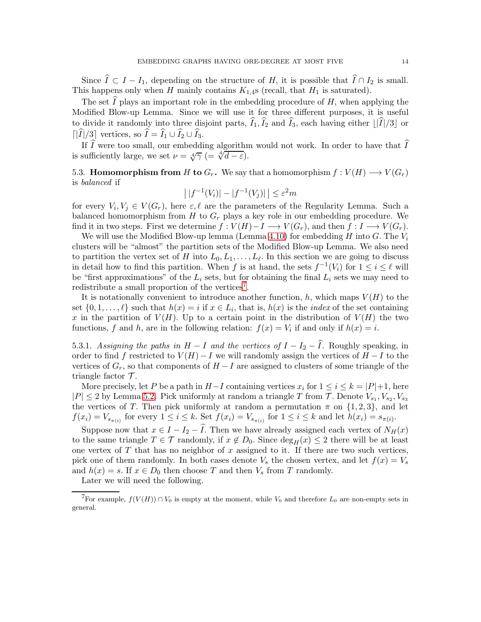Since  $\widehat{I} \subset I - I_1$ , depending on the structure of H, it is possible that  $\widehat{I} \cap I_2$  is small. This happens only when H mainly contains  $K_{1,4}$ s (recall, that  $H_1$  is saturated).

The set  $\tilde{I}$  plays an important role in the embedding procedure of H, when applying the Modified Blow-up Lemma. Since we will use it for three different purposes, it is useful to divide it randomly into three disjoint parts,  $\widehat{I}_1, \widehat{I}_2$  and  $\widehat{I}_3$ , each having either  $\lfloor |\widehat{I}|/3 \rfloor$  or  $\lceil |\widehat{I}|/3 \rceil$  vertices, so  $\widehat{I} = \widehat{I}_1 \cup \widehat{I}_2 \cup \widehat{I}_3$ .

If  $\tilde{I}$  were too small, our embedding algorithm would not work. In order to have that  $\tilde{I}$ is sufficiently large, we set  $\nu = \sqrt[4]{\gamma}$  (=  $\sqrt[4]{d-\varepsilon}$ ).

<span id="page-13-0"></span>5.3. **Homomorphism from** H to  $G_r$ . We say that a homomorphism  $f: V(H) \longrightarrow V(G_r)$ is balanced if

$$
\left| |f^{-1}(V_i)| - |f^{-1}(V_j)| \right| \le \varepsilon^2 m
$$

for every  $V_i, V_j \in V(G_r)$ , here  $\varepsilon, \ell$  are the parameters of the Regularity Lemma. Such a balanced homomorphism from H to  $G_r$  plays a key role in our embedding procedure. We find it in two steps. First we determine  $f : V(H) - I \longrightarrow V(G_r)$ , and then  $f : I \longrightarrow V(G_r)$ .

We will use the Modified Blow-up lemma (Lemma [4.10\)](#page-6-2) for embedding H into G. The  $V_i$ clusters will be "almost" the partition sets of the Modified Blow-up Lemma. We also need to partition the vertex set of H into  $L_0, L_1, \ldots, L_{\ell}$ . In this section we are going to discuss in detail how to find this partition. When f is at hand, the sets  $f^{-1}(V_i)$  for  $1 \leq i \leq \ell$  will be "first approximations" of the  $L_i$  sets, but for obtaining the final  $L_i$  sets we may need to redistribute a small proportion of the vertices<sup>[7](#page-13-1)</sup>.

It is notationally convenient to introduce another function, h, which maps  $V(H)$  to the set  $\{0, 1, \ldots, \ell\}$  such that  $h(x) = i$  if  $x \in L_i$ , that is,  $h(x)$  is the *index* of the set containing x in the partition of  $V(H)$ . Up to a certain point in the distribution of  $V(H)$  the two functions, f and h, are in the following relation:  $f(x) = V_i$  if and only if  $h(x) = i$ .

5.3.1. Assigning the paths in  $H - I$  and the vertices of  $I - I_2 - \hat{I}$ . Roughly speaking, in order to find f restricted to  $V(H) - I$  we will randomly assign the vertices of  $H - I$  to the vertices of  $G_r$ , so that components of  $H-I$  are assigned to clusters of some triangle of the triangle factor  $\mathcal{T}$ .

More precisely, let P be a path in  $H-I$  containing vertices  $x_i$  for  $1 \leq i \leq k = |P|+1$ , here  $|P| \leq 2$  by Lemma [5.2.](#page-10-1) Pick uniformly at random a triangle T from T. Denote  $V_{s_1}, V_{s_2}, V_{s_3}$ the vertices of T. Then pick uniformly at random a permutation  $\pi$  on  $\{1,2,3\}$ , and let  $f(x_i) = V_{s_{\pi(i)}}$  for every  $1 \leq i \leq k$ . Set  $f(x_i) = V_{s_{\pi(i)}}$  for  $1 \leq i \leq k$  and let  $h(x_i) = s_{\pi(i)}$ .

Suppose now that  $x \in I - I_2 - \hat{I}$ . Then we have already assigned each vertex of  $N_H(x)$ to the same triangle  $T \in \mathcal{T}$  randomly, if  $x \notin D_0$ . Since  $\deg_H(x) \leq 2$  there will be at least one vertex of  $T$  that has no neighbor of  $x$  assigned to it. If there are two such vertices, pick one of them randomly. In both cases denote  $V_s$  the chosen vertex, and let  $f(x) = V_s$ and  $h(x) = s$ . If  $x \in D_0$  then choose T and then  $V_s$  from T randomly.

Later we will need the following.

<span id="page-13-1"></span><sup>&</sup>lt;sup>7</sup>For example,  $f(V(H)) \cap V_0$  is empty at the moment, while  $V_0$  and therefore  $L_0$  are non-empty sets in general.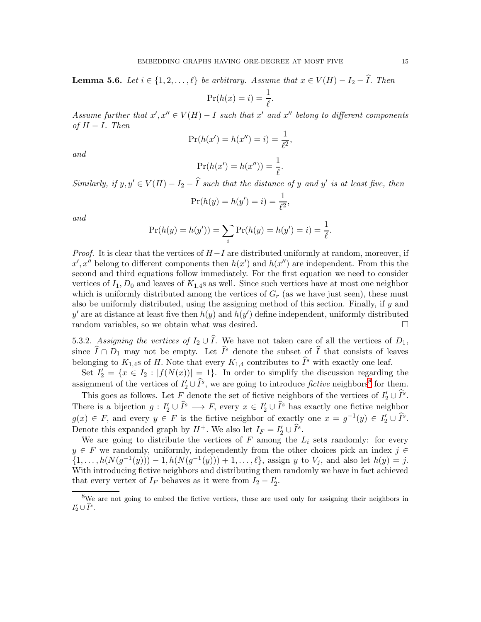<span id="page-14-1"></span>**Lemma 5.6.** Let  $i \in \{1, 2, ..., \ell\}$  be arbitrary. Assume that  $x \in V(H) - I_2 - \widehat{I}$ . Then

$$
\Pr(h(x) = i) = \frac{1}{\ell}.
$$

Assume further that  $x', x'' \in V(H) - I$  such that  $x'$  and  $x''$  belong to different components of  $H - I$ . Then

$$
Pr(h(x') = h(x'') = i) = \frac{1}{\ell^2},
$$

and

$$
\Pr(h(x') = h(x'')) = \frac{1}{\ell}.
$$

Similarly, if  $y, y' \in V(H) - I_2 - \hat{I}$  such that the distance of y and y' is at least five, then

$$
\Pr(h(y) = h(y') = i) = \frac{1}{\ell^2},
$$

and

$$
\Pr(h(y) = h(y')) = \sum_{i} \Pr(h(y) = h(y') = i) = \frac{1}{\ell}.
$$

*Proof.* It is clear that the vertices of  $H-I$  are distributed uniformly at random, moreover, if  $x', x''$  belong to different components then  $h(x')$  and  $h(x'')$  are independent. From this the second and third equations follow immediately. For the first equation we need to consider vertices of  $I_1, D_0$  and leaves of  $K_{1,4}$ s as well. Since such vertices have at most one neighbor which is uniformly distributed among the vertices of  $G_r$  (as we have just seen), these must also be uniformly distributed, using the assigning method of this section. Finally, if y and y' are at distance at least five then  $h(y)$  and  $h(y')$  define independent, uniformly distributed random variables, so we obtain what was desired.

5.3.2. Assigning the vertices of  $I_2 \cup \widehat{I}$ . We have not taken care of all the vertices of  $D_1$ , since  $\widehat{I} \cap D_1$  may not be empty. Let  $\widehat{I}^s$  denote the subset of  $\widehat{I}$  that consists of leaves belonging to  $K_{1,4}$ s of H. Note that every  $K_{1,4}$  contributes to  $\widehat{I}^s$  with exactly one leaf.

Set  $I_2' = \{x \in I_2 : |f(N(x))| = 1\}$ . In order to simplify the discussion regarding the assignment of the vertices of  $I'_2 \cup \widehat{I}^s$ , we are going to introduce fictive neighbors<sup>[8](#page-14-0)</sup> for them.

This goes as follows. Let  $F$  denote the set of fictive neighbors of the vertices of  $I'_2 \cup \tilde{I}^s$ . There is a bijection  $g: I'_2 \cup \tilde{I}^s \longrightarrow F$ , every  $x \in I'_2 \cup \tilde{I}^s$  has exactly one fictive neighbor  $g(x) \in F$ , and every  $y \in F$  is the fictive neighbor of exactly one  $x = g^{-1}(y) \in I'_2 \cup \tilde{I}^s$ . Denote this expanded graph by  $H^+$ . We also let  $I_F = I'_2 \cup \hat{I}^s$ .

We are going to distribute the vertices of  $F$  among the  $L_i$  sets randomly: for every  $y \in F$  we randomly, uniformly, independently from the other choices pick an index  $j \in$  $\{1, \ldots, h(N(g^{-1}(y))) - 1, h(N(g^{-1}(y))) + 1, \ldots, \ell\}$ , assign y to  $V_j$ , and also let  $h(y) = j$ . With introducing fictive neighbors and distributing them randomly we have in fact achieved that every vertex of  $I_F$  behaves as it were from  $I_2 - I'_2$ .

<span id="page-14-0"></span><sup>8</sup>We are not going to embed the fictive vertices, these are used only for assigning their neighbors in  $I'_2\cup \widehat{I}^s.$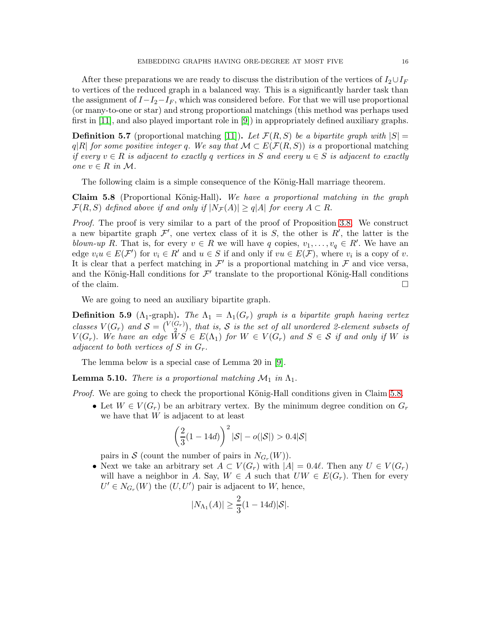After these preparations we are ready to discuss the distribution of the vertices of  $I_2 \cup I_F$ to vertices of the reduced graph in a balanced way. This is a significantly harder task than the assignment of  $I-I_2-I_F$ , which was considered before. For that we will use proportional (or many-to-one or star) and strong proportional matchings (this method was perhaps used first in [\[11\]](#page-38-10), and also played important role in [\[9\]](#page-38-9)) in appropriately defined auxiliary graphs.

**Definition 5.7** (proportional matching [\[11\]](#page-38-10)). Let  $\mathcal{F}(R, S)$  be a bipartite graph with  $|S|$ q|R| for some positive integer q. We say that  $\mathcal{M} \subset E(\mathcal{F}(R,S))$  is a proportional matching if every  $v \in R$  is adjacent to exactly q vertices in S and every  $u \in S$  is adjacent to exactly one v ∈ R in M.

The following claim is a simple consequence of the König-Hall marriage theorem.

<span id="page-15-0"></span>**Claim 5.8** (Proportional König-Hall). We have a proportional matching in the graph  $\mathcal{F}(R, S)$  defined above if and only if  $|N_{\mathcal{F}}(A)| \geq q|A|$  for every  $A \subset R$ .

Proof. The proof is very similar to a part of the proof of Proposition [3.8.](#page-4-1) We construct a new bipartite graph  $\mathcal{F}'$ , one vertex class of it is S, the other is R', the latter is the blown-up R. That is, for every  $v \in R$  we will have q copies,  $v_1, \ldots, v_q \in R'$ . We have an edge  $v_i u \in E(\mathcal{F}')$  for  $v_i \in R'$  and  $u \in S$  if and only if  $vu \in E(\mathcal{F})$ , where  $v_i$  is a copy of  $v$ . It is clear that a perfect matching in  $\mathcal{F}'$  is a proportional matching in  $\mathcal{F}$  and vice versa, and the König-Hall conditions for  $\mathcal{F}'$  translate to the proportional König-Hall conditions of the claim.  $\Box$ 

We are going to need an auxiliary bipartite graph.

**Definition 5.9** ( $\Lambda_1$ -graph). The  $\Lambda_1 = \Lambda_1(G_r)$  graph is a bipartite graph having vertex classes  $V(G_r)$  and  $S = \begin{pmatrix} V(G_r) \\ 2 \end{pmatrix}$  $\binom{G_r}{2}$ , that is, S is the set of all unordered 2-element subsets of  $V(G_r)$ . We have an edge  $\overline{W}S \in E(\Lambda_1)$  for  $W \in V(G_r)$  and  $S \in S$  if and only if W is adjacent to both vertices of S in  $G_r$ .

The lemma below is a special case of Lemma 20 in [\[9\]](#page-38-9).

<span id="page-15-1"></span>**Lemma 5.10.** There is a proportional matching  $\mathcal{M}_1$  in  $\Lambda_1$ .

*Proof.* We are going to check the proportional König-Hall conditions given in Claim [5.8.](#page-15-0)

• Let  $W \in V(G_r)$  be an arbitrary vertex. By the minimum degree condition on  $G_r$ we have that W is adjacent to at least

$$
\left(\frac{2}{3}(1-14d)\right)^2|\mathcal{S}|-o(|\mathcal{S}|)>0.4|\mathcal{S}|
$$

pairs in S (count the number of pairs in  $N_{G_r}(W)$ ).

• Next we take an arbitrary set  $A \subset V(G_r)$  with  $|A| = 0.4\ell$ . Then any  $U \in V(G_r)$ will have a neighbor in A. Say,  $W \in A$  such that  $UW \in E(G_r)$ . Then for every  $U' \in N_{G_r}(W)$  the  $(U, U')$  pair is adjacent to W, hence,

$$
|N_{\Lambda_1}(A)| \geq \frac{2}{3}(1-14d)|\mathcal{S}|.
$$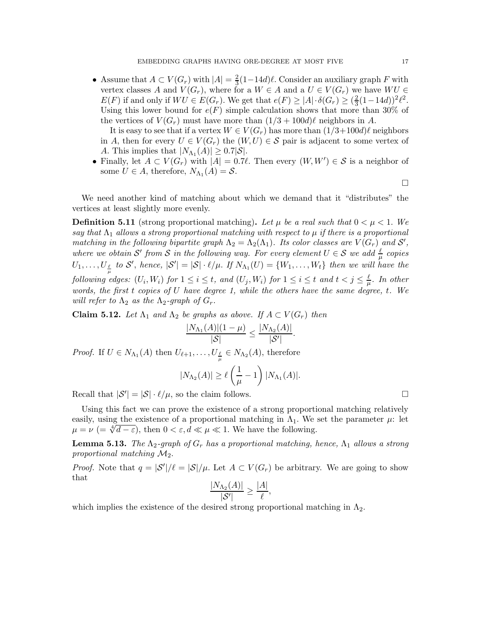• Assume that  $A \subset V(G_r)$  with  $|A| = \frac{2}{3}$  $\frac{2}{3}(1-14d)\ell$ . Consider an auxiliary graph F with vertex classes A and  $V(G_r)$ , where for a  $W \in A$  and a  $U \in V(G_r)$  we have  $WU \in$  $E(F)$  if and only if  $WU \in E(G_r)$ . We get that  $e(F) \geq |A| \cdot \delta(G_r) \geq (\frac{2}{3})$  $\frac{2}{3}(1-14d))^2\ell^2.$ Using this lower bound for  $e(F)$  simple calculation shows that more than 30% of the vertices of  $V(G_r)$  must have more than  $(1/3 + 100d)\ell$  neighbors in A.

It is easy to see that if a vertex  $W \in V(G_r)$  has more than  $(1/3+100d)\ell$  neighbors in A, then for every  $U \in V(G_r)$  the  $(W, U) \in S$  pair is adjacent to some vertex of A. This implies that  $|N_{\Lambda_1}(A)| \geq 0.7|\mathcal{S}|.$ 

• Finally, let  $A \subset V(G_r)$  with  $|A| = 0.7\ell$ . Then every  $(W, W') \in S$  is a neighbor of some  $U \in A$ , therefore,  $N_{\Lambda_1}(A) = S$ .

 $\Box$ 

We need another kind of matching about which we demand that it "distributes" the vertices at least slightly more evenly.

**Definition 5.11** (strong proportional matching). Let  $\mu$  be a real such that  $0 < \mu < 1$ . We say that  $\Lambda_1$  allows a strong proportional matching with respect to  $\mu$  if there is a proportional matching in the following bipartite graph  $\Lambda_2 = \Lambda_2(\Lambda_1)$ . Its color classes are  $V(G_r)$  and  $S'$ , where we obtain S' from S in the following way. For every element  $U \in S$  we add  $\frac{\ell}{\mu}$  copies  $U_1,\ldots,U_{\frac{\ell}{\mu}}$  to  $\mathcal{S}',$  hence,  $|\mathcal{S}'|=|\mathcal{S}|\cdot\ell/\mu$ . If  $N_{\Lambda_1}(U)=\{W_1,\ldots,W_t\}$  then we will have the  $\emph{following edges: } (U_i,W_i) \emph{ for } 1 \leq i \leq t, \emph{ and } (U_j,W_i) \emph{ for } 1 \leq i \leq t \emph{ and } t < j \leq \frac{\ell}{\mu}$  $\frac{\ell}{\mu}$ . In other words, the first t copies of U have degree 1, while the others have the same degree, t. We will refer to  $\Lambda_2$  as the  $\Lambda_2$ -graph of  $G_r$ .

<span id="page-16-0"></span>**Claim 5.12.** Let  $\Lambda_1$  and  $\Lambda_2$  be graphs as above. If  $A \subset V(G_r)$  then

$$
\frac{|N_{\Lambda_1}(A)|(1-\mu)}{|S|} \le \frac{|N_{\Lambda_2}(A)|}{|S'|}.
$$

*Proof.* If  $U \in N_{\Lambda_1}(A)$  then  $U_{\ell+1}, \ldots, U_{\frac{\ell}{\mu}} \in N_{\Lambda_2}(A)$ , therefore

$$
|N_{\Lambda_2}(A)| \ge \ell \left(\frac{1}{\mu} - 1\right) |N_{\Lambda_1}(A)|.
$$

Recall that  $|\mathcal{S}'| = |\mathcal{S}| \cdot \ell/\mu$ , so the claim follows.

Using this fact we can prove the existence of a strong proportional matching relatively easily, using the existence of a proportional matching in  $\Lambda_1$ . We set the parameter  $\mu$ : let  $\mu = \nu \ (= \sqrt[4]{d - \varepsilon})$ , then  $0 < \varepsilon, d \ll \mu \ll 1$ . We have the following.

**Lemma 5.13.** The  $\Lambda_2$ -graph of  $G_r$  has a proportional matching, hence,  $\Lambda_1$  allows a strong proportional matching  $\mathcal{M}_2$ .

*Proof.* Note that  $q = |\mathcal{S}'|/\ell = |\mathcal{S}|/\mu$ . Let  $A \subset V(G_r)$  be arbitrary. We are going to show that

$$
\frac{|N_{\Lambda_2}(A)|}{|S'|} \ge \frac{|A|}{\ell},
$$

which implies the existence of the desired strong proportional matching in  $\Lambda_2$ .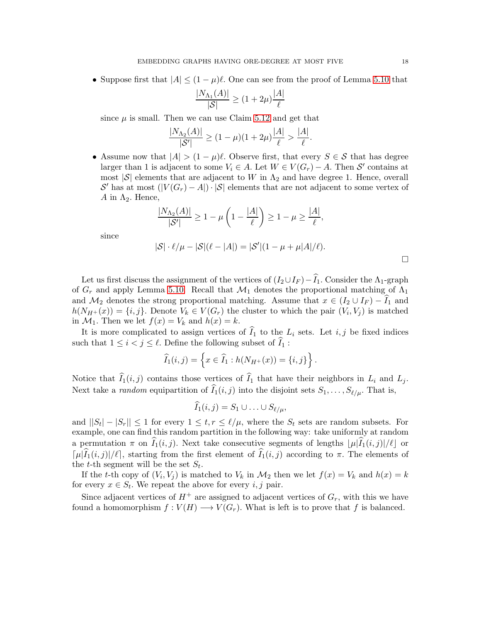• Suppose first that  $|A| \leq (1 - \mu)\ell$ . One can see from the proof of Lemma [5.10](#page-15-1) that

$$
\frac{|N_{\Lambda_1}(A)|}{|\mathcal{S}|} \ge (1+2\mu)\frac{|A|}{\ell}
$$

since  $\mu$  is small. Then we can use Claim [5.12](#page-16-0) and get that

$$
\frac{|N_{\Lambda_2}(A)|}{|S'|} \ge (1-\mu)(1+2\mu)\frac{|A|}{\ell} > \frac{|A|}{\ell}.
$$

• Assume now that  $|A| > (1 - \mu)\ell$ . Observe first, that every  $S \in \mathcal{S}$  that has degree larger than 1 is adjacent to some  $V_i \in A$ . Let  $W \in V(G_r) - A$ . Then  $S'$  contains at most  $|\mathcal{S}|$  elements that are adjacent to W in  $\Lambda_2$  and have degree 1. Hence, overall  $\mathcal{S}'$  has at most  $(|V(G_r) - A|) \cdot |\mathcal{S}|$  elements that are not adjacent to some vertex of A in  $\Lambda_2$ . Hence,

$$
\frac{|N_{\Lambda_2}(A)|}{|S'|} \ge 1 - \mu \left(1 - \frac{|A|}{\ell}\right) \ge 1 - \mu \ge \frac{|A|}{\ell},
$$

since

$$
|\mathcal{S}| \cdot \ell/\mu - |\mathcal{S}|(\ell - |A|) = |\mathcal{S}'|(1 - \mu + \mu|A|/\ell).
$$

Let us first discuss the assignment of the vertices of  $(I_2 \cup I_F) - \widehat{I}_1$ . Consider the  $\Lambda_1$ -graph of  $G_r$  and apply Lemma [5.10.](#page-15-1) Recall that  $\mathcal{M}_1$  denotes the proportional matching of  $\Lambda_1$ and  $\mathcal{M}_2$  denotes the strong proportional matching. Assume that  $x \in (I_2 \cup I_F) - I_1$  and  $h(N_{H^+}(x)) = \{i, j\}.$  Denote  $V_k \in V(G_r)$  the cluster to which the pair  $(V_i, V_j)$  is matched in  $\mathcal{M}_1$ . Then we let  $f(x) = V_k$  and  $h(x) = k$ .

It is more complicated to assign vertices of  $\widehat{I}_1$  to the  $L_i$  sets. Let  $i, j$  be fixed indices such that  $1 \leq i < j \leq \ell$ . Define the following subset of  $\widehat{I}_1$ :

$$
\widehat{I}_1(i,j) = \left\{ x \in \widehat{I}_1 : h(N_{H^+}(x)) = \{i,j\} \right\}.
$$

Notice that  $\widehat{I}_1(i, j)$  contains those vertices of  $\widehat{I}_1$  that have their neighbors in  $L_i$  and  $L_j$ . Next take a *random* equipartition of  $\widehat{I}_1(i, j)$  into the disjoint sets  $S_1, \ldots, S_{\ell/\mu}$ . That is,

$$
\widehat{I}_1(i,j)=S_1\cup\ldots\cup S_{\ell/\mu},
$$

and  $||S_t| - |S_r|| \leq 1$  for every  $1 \leq t, r \leq \ell/\mu$ , where the  $S_t$  sets are random subsets. For example, one can find this random partition in the following way: take uniformly at random a permutation  $\pi$  on  $\tilde{I}_1(i, j)$ . Next take consecutive segments of lengths  $|\mu|\tilde{I}_1(i, j)|/\ell|\,$  or  $\lceil \mu \rceil \hat{I}_1(i,j) / \ell \rceil$ , starting from the first element of  $\hat{I}_1(i,j)$  according to  $\pi$ . The elements of the *t*-th segment will be the set  $S_t$ .

If the t-th copy of  $(V_i, V_j)$  is matched to  $V_k$  in  $\mathcal{M}_2$  then we let  $f(x) = V_k$  and  $h(x) = k$ for every  $x \in S_t$ . We repeat the above for every  $i, j$  pair.

Since adjacent vertices of  $H^+$  are assigned to adjacent vertices of  $G_r$ , with this we have found a homomorphism  $f: V(H) \longrightarrow V(G_r)$ . What is left is to prove that f is balanced.

 $\Box$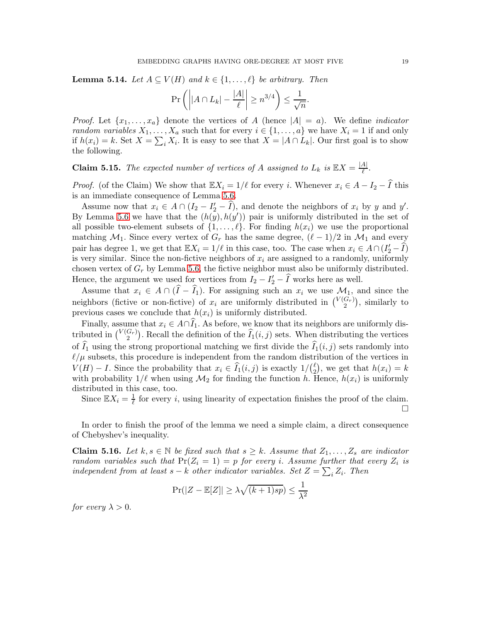<span id="page-18-1"></span>**Lemma 5.14.** Let  $A \subseteq V(H)$  and  $k \in \{1, ..., \ell\}$  be arbitrary. Then

$$
\Pr\left(\left||A \cap L_k| - \frac{|A|}{\ell}\right| \ge n^{3/4}\right) \le \frac{1}{\sqrt{n}}.
$$

*Proof.* Let  $\{x_1, \ldots, x_a\}$  denote the vertices of A (hence  $|A| = a$ ). We define *indicator* random variables  $X_1, \ldots, X_a$  such that for every  $i \in \{1, \ldots, a\}$  we have  $X_i = 1$  if and only if  $h(x_i) = k$ . Set  $X = \sum_i X_i$ . It is easy to see that  $X = |A \cap L_k|$ . Our first goal is to show the following.

**Claim 5.15.** The expected number of vertices of A assigned to  $L_k$  is  $\mathbb{E}X = \frac{|A|}{\ell}$  $\frac{A_{\parallel}}{\ell}$ .

*Proof.* (of the Claim) We show that  $\mathbb{E}X_i = 1/\ell$  for every i. Whenever  $x_i \in A - I_2 - \hat{I}$  this is an immediate consequence of Lemma [5.6.](#page-14-1)

Assume now that  $x_i \in A \cap (I_2 - I_2' - \widehat{I}),$  and denote the neighbors of  $x_i$  by y and y'. By Lemma [5.6](#page-14-1) we have that the  $(h(y), h(y'))$  pair is uniformly distributed in the set of all possible two-element subsets of  $\{1,\ldots,\ell\}$ . For finding  $h(x_i)$  we use the proportional matching  $\mathcal{M}_1$ . Since every vertex of  $G_r$  has the same degree,  $(\ell-1)/2$  in  $\mathcal{M}_1$  and every pair has degree 1, we get that  $\mathbb{E}X_i = 1/\ell$  in this case, too. The case when  $x_i \in A \cap (I'_2 - \widehat{I})$ is very similar. Since the non-fictive neighbors of  $x_i$  are assigned to a randomly, uniformly chosen vertex of  $G_r$  by Lemma [5.6,](#page-14-1) the fictive neighbor must also be uniformly distributed. Hence, the argument we used for vertices from  $I_2 - I'_2 - \hat{I}$  works here as well.

Assume that  $x_i \in A \cap (\hat{I} - \hat{I}_1)$ . For assigning such an  $x_i$  we use  $\mathcal{M}_1$ , and since the neighbors (fictive or non-fictive) of  $x_i$  are uniformly distributed in  $\binom{V(G_r)}{2}$  $\binom{G_r}{2}$ , similarly to previous cases we conclude that  $h(x_i)$  is uniformly distributed.

Finally, assume that  $x_i \in A \cap \hat{I}_1$ . As before, we know that its neighbors are uniformly distributed in  $\binom{V(G_r)}{2}$  $\binom{G_r}{2}$ . Recall the definition of the  $\widehat{I}_1(i,j)$  sets. When distributing the vertices of  $\widehat{I}_1$  using the strong proportional matching we first divide the  $\widehat{I}_1(i, j)$  sets randomly into  $\ell/\mu$  subsets, this procedure is independent from the random distribution of the vertices in  $V(H) - I$ . Since the probability that  $x_i \in \widehat{I}_1(i, j)$  is exactly  $1/\binom{\ell}{2}$  $\binom{\ell}{2}$ , we get that  $h(x_i) = k$ with probability  $1/\ell$  when using  $\mathcal{M}_2$  for finding the function h. Hence,  $h(x_i)$  is uniformly distributed in this case, too.

Since  $\mathbb{E}X_i = \frac{1}{\ell}$  $\frac{1}{\ell}$  for every *i*, using linearity of expectation finishes the proof of the claim.  $\Box$ 

In order to finish the proof of the lemma we need a simple claim, a direct consequence of Chebyshev's inequality.

<span id="page-18-0"></span>**Claim 5.16.** Let  $k, s \in \mathbb{N}$  be fixed such that  $s \geq k$ . Assume that  $Z_1, \ldots, Z_s$  are indicator random variables such that  $Pr(Z_i = 1) = p$  for every i. Assume further that every  $Z_i$  is independent from at least  $s - k$  other indicator variables. Set  $Z = \sum_i Z_i$ . Then

$$
\Pr(|Z - \mathbb{E}[Z]| \ge \lambda \sqrt{(k+1)sp}) \le \frac{1}{\lambda^2}
$$

for every  $\lambda > 0$ .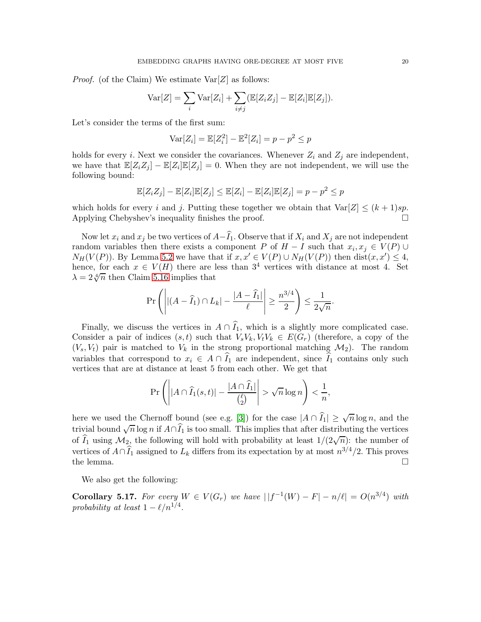*Proof.* (of the Claim) We estimate  $Var[Z]$  as follows:

$$
\text{Var}[Z] = \sum_{i} \text{Var}[Z_i] + \sum_{i \neq j} (\mathbb{E}[Z_i Z_j] - \mathbb{E}[Z_i] \mathbb{E}[Z_j]).
$$

Let's consider the terms of the first sum:

$$
Var[Z_i] = \mathbb{E}[Z_i^2] - \mathbb{E}^2[Z_i] = p - p^2 \le p
$$

holds for every *i*. Next we consider the covariances. Whenever  $Z_i$  and  $Z_j$  are independent, we have that  $\mathbb{E}[Z_i Z_j] - \mathbb{E}[Z_i] \mathbb{E}[Z_j] = 0$ . When they are not independent, we will use the following bound:

$$
\mathbb{E}[Z_i Z_j] - \mathbb{E}[Z_i] \mathbb{E}[Z_j] \le \mathbb{E}[Z_i] - \mathbb{E}[Z_i] \mathbb{E}[Z_j] = p - p^2 \le p
$$

which holds for every *i* and *j*. Putting these together we obtain that  $Var[Z] \leq (k+1)sp$ .<br>Applying Chebyshev's inequality finishes the proof. Applying Chebyshev's inequality finishes the proof.

Now let  $x_i$  and  $x_j$  be two vertices of  $A-\widehat{I}_1$ . Observe that if  $X_i$  and  $X_j$  are not independent random variables then there exists a component P of  $H - I$  such that  $x_i, x_j \in V(P) \cup$  $N_H(V(P))$ . By Lemma [5.2](#page-10-1) we have that if  $x, x' \in V(P) \cup N_H(V(P))$  then  $dist(x, x') \leq 4$ , hence, for each  $x \in V(H)$  there are less than  $3^4$  vertices with distance at most 4. Set  $\lambda = 2\sqrt[4]{n}$  then Claim [5.16](#page-18-0) implies that

$$
\Pr\left(\left| |(A - \widehat{I}_1) \cap L_k| - \frac{|A - \widehat{I}_1|}{\ell} \right| \ge \frac{n^{3/4}}{2}\right) \le \frac{1}{2\sqrt{n}}.
$$

Finally, we discuss the vertices in  $A \cap \widehat{I}_1$ , which is a slightly more complicated case. Consider a pair of indices  $(s, t)$  such that  $V_sV_k, V_tV_k \in E(G_r)$  (therefore, a copy of the  $(V_s, V_t)$  pair is matched to  $V_k$  in the strong proportional matching  $\mathcal{M}_2$ ). The random variables that correspond to  $x_i \in A \cap \hat{I}_1$  are independent, since  $\hat{I}_1$  contains only such vertices that are at distance at least 5 from each other. We get that

$$
\Pr\left(\left||A\cap \widehat{I}_1(s,t)|-\frac{|A\cap \widehat{I}_1|}{\binom{\ell}{2}}\right|>\sqrt{n}\log n\right)<\frac{1}{n},
$$

here we used the Chernoff bound (see e.g. [\[3\]](#page-38-20)) for the case  $|A \cap \widehat{I}_1| \geq \sqrt{n} \log n$ , and the trivial bound  $\sqrt{n} \log n$  if  $A \cap \widehat{I}_1$  is too small. This implies that after distributing the vertices of  $\widehat{I}_1$  using  $\mathcal{M}_2$ , the following will hold with probability at least  $1/(2\sqrt{n})$ : the number of vertices of  $A \cap \widehat{I}_1$  assigned to  $L_k$  differs from its expectation by at most  $n^{3/4}/2$ . This proves the lemma.  $\Box$ 

We also get the following:

Corollary 5.17. For every  $W \in V(G_r)$  we have  $||f^{-1}(W) - F| - n/\ell| = O(n^{3/4})$  with probability at least  $1 - \ell/n^{1/4}$ .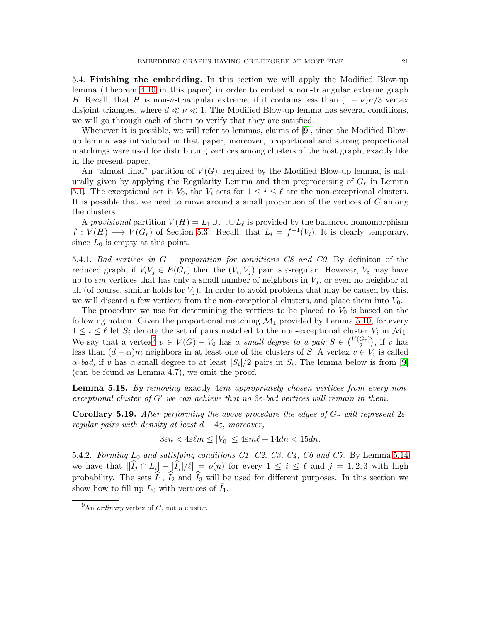<span id="page-20-0"></span>5.4. Finishing the embedding. In this section we will apply the Modified Blow-up lemma (Theorem [4.10](#page-6-2) in this paper) in order to embed a non-triangular extreme graph H. Recall, that H is non- $\nu$ -triangular extreme, if it contains less than  $(1 - \nu)n/3$  vertex disjoint triangles, where  $d \ll \nu \ll 1$ . The Modified Blow-up lemma has several conditions, we will go through each of them to verify that they are satisfied.

Whenever it is possible, we will refer to lemmas, claims of [\[9\]](#page-38-9), since the Modified Blowup lemma was introduced in that paper, moreover, proportional and strong proportional matchings were used for distributing vertices among clusters of the host graph, exactly like in the present paper.

An "almost final" partition of  $V(G)$ , required by the Modified Blow-up lemma, is naturally given by applying the Regularity Lemma and then preprocessing of  $G_r$  in Lemma [5.1.](#page-10-2) The exceptional set is  $V_0$ , the  $V_i$  sets for  $1 \leq i \leq \ell$  are the non-exceptional clusters. It is possible that we need to move around a small proportion of the vertices of G among the clusters.

A provisional partition  $V(H) = L_1 \cup \ldots \cup L_\ell$  is provided by the balanced homomorphism  $f: V(H) \longrightarrow V(G_r)$  of Section [5.3.](#page-13-0) Recall, that  $L_i = f^{-1}(V_i)$ . It is clearly temporary, since  $L_0$  is empty at this point.

5.4.1. Bad vertices in G – preparation for conditions C8 and C9. By definiton of the reduced graph, if  $V_i V_j \in E(G_r)$  then the  $(V_i, V_j)$  pair is  $\varepsilon$ -regular. However,  $V_i$  may have up to  $\varepsilon m$  vertices that has only a small number of neighbors in  $V_j$ , or even no neighbor at all (of course, similar holds for  $V_i$ ). In order to avoid problems that may be caused by this, we will discard a few vertices from the non-exceptional clusters, and place them into  $V_0$ .

The procedure we use for determining the vertices to be placed to  $V_0$  is based on the following notion. Given the proportional matching  $\mathcal{M}_1$  provided by Lemma [5.10,](#page-15-1) for every  $1 \leq i \leq \ell$  let  $S_i$  denote the set of pairs matched to the non-exceptional cluster  $V_i$  in  $\mathcal{M}_1$ . We say that a vertex  $v \in V(G) - V_0$  has  $\alpha$ -small degree to a pair  $S \in {V(G_r)}$  $\binom{G_r}{2}$ , if v has less than  $(d - \alpha)m$  neighbors in at least one of the clusters of S. A vertex  $v \in V_i$  is called  $\alpha$ -bad, if v has  $\alpha$ -small degree to at least  $|S_i|/2$  pairs in  $S_i$ . The lemma below is from [\[9\]](#page-38-9) (can be found as Lemma 4.7), we omit the proof.

<span id="page-20-3"></span>**Lemma 5.18.** By removing exactly  $4\varepsilon m$  appropriately chosen vertices from every nonexceptional cluster of G' we can achieve that no  $6\varepsilon$ -bad vertices will remain in them.

<span id="page-20-2"></span>**Corollary 5.19.** After performing the above procedure the edges of  $G_r$  will represent  $2\varepsilon$ regular pairs with density at least  $d-4\varepsilon$ , moreover,

$$
3\varepsilon n < 4\varepsilon \ell m \le |V_0| \le 4\varepsilon m \ell + 14dn < 15dn.
$$

5.4.2. Forming  $L_0$  and satisfying conditions  $C_1$ ,  $C_2$ ,  $C_3$ ,  $C_4$ ,  $C_6$  and  $C_7$ . By Lemma [5.14](#page-18-1) we have that  $||I_j \cap L_i|| - |I_j|/\ell| = o(n)$  for every  $1 \leq i \leq \ell$  and  $j = 1, 2, 3$  with high probability. The sets  $\hat{I}_1$ ,  $\hat{I}_2$  and  $\hat{I}_3$  will be used for different purposes. In this section we show how to fill up  $L_0$  with vertices of  $\tilde{I}_1$ .

<span id="page-20-1"></span> $^{9}$ An *ordinary* vertex of G, not a cluster.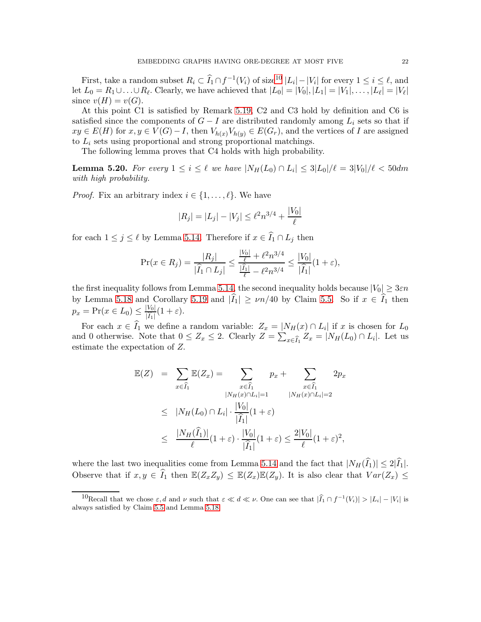First, take a random subset  $R_i \subset \widehat{I}_1 \cap f^{-1}(V_i)$  of size<sup>[10](#page-21-0)</sup>  $|L_i| - |V_i|$  for every  $1 \leq i \leq \ell$ , and let  $L_0 = R_1 \cup \ldots \cup R_\ell$ . Clearly, we have achieved that  $|L_0| = |V_0|, |L_1| = |V_1|, \ldots, |L_\ell| = |V_\ell|$ since  $v(H) = v(G)$ .

At this point C1 is satisfied by Remark [5.19,](#page-20-2) C2 and C3 hold by definition and C6 is satisfied since the components of  $G - I$  are distributed randomly among  $L_i$  sets so that if  $xy \in E(H)$  for  $x, y \in V(G) - I$ , then  $V_{h(x)}V_{h(y)} \in E(G_r)$ , and the vertices of I are assigned to  $L_i$  sets using proportional and strong proportional matchings.

The following lemma proves that C4 holds with high probability.

**Lemma 5.20.** For every  $1 \leq i \leq \ell$  we have  $|N_H(L_0) \cap L_i| \leq 3|L_0|/\ell = 3|V_0|/\ell < 50$ dm with high probability.

*Proof.* Fix an arbitrary index  $i \in \{1, \ldots, \ell\}$ . We have

$$
|R_j| = |L_j| - |V_j| \le \ell^2 n^{3/4} + \frac{|V_0|}{\ell}
$$

for each  $1 \leq j \leq \ell$  by Lemma [5.14.](#page-18-1) Therefore if  $x \in \widehat{I}_1 \cap L_j$  then

$$
\Pr(x \in R_j) = \frac{|R_j|}{|\widehat{I}_1 \cap L_j|} \le \frac{\frac{|V_0|}{\ell} + \ell^2 n^{3/4}}{\frac{|\widehat{I}_1|}{\ell} - \ell^2 n^{3/4}} \le \frac{|V_0|}{|\widehat{I}_1|} (1 + \varepsilon),
$$

the first inequality follows from Lemma [5.14,](#page-18-1) the second inequality holds because  $|V_0| \geq 3\varepsilon n$ by Lemma [5.18](#page-20-3) and Corollary [5.19](#page-20-2) and  $|\hat{I}_1| \ge \nu n/40$  by Claim [5.5.](#page-12-0) So if  $x \in \hat{I}_1$  then  $p_x = Pr(x \in L_0) \le \frac{|V_0|}{|\hat{I}_1|} (1 + \varepsilon).$ 

For each  $x \in I_1$  we define a random variable:  $Z_x = |N_H(x) \cap L_i|$  if x is chosen for  $L_0$ and 0 otherwise. Note that  $0 \le Z_x \le 2$ . Clearly  $Z = \sum_{x \in \widehat{I}_1} Z_x = |N_H(L_0) \cap L_i|$ . Let us estimate the expectation of Z.

$$
\mathbb{E}(Z) = \sum_{x \in \widehat{I}_1} \mathbb{E}(Z_x) = \sum_{x \in \widehat{I}_1} p_x + \sum_{x \in \widehat{I}_1} 2p_x
$$
  
\n
$$
\leq |N_H(L_0) \cap L_i| \cdot \frac{|V_0|}{|\widehat{I}_1|} (1 + \varepsilon)
$$
  
\n
$$
\leq \frac{|N_H(\widehat{I}_1)|}{\ell} (1 + \varepsilon) \cdot \frac{|V_0|}{|\widehat{I}_1|} (1 + \varepsilon) \leq \frac{2|V_0|}{\ell} (1 + \varepsilon)^2,
$$

where the last two inequalities come from Lemma [5.14](#page-18-1) and the fact that  $|N_H(\hat{I}_1)| \leq 2|\hat{I}_1|$ . Observe that if  $x, y \in \hat{I}_1$  then  $\mathbb{E}(Z_xZ_y) \leq \mathbb{E}(Z_x)\mathbb{E}(Z_y)$ . It is also clear that  $Var(Z_x) \leq$ 

<span id="page-21-0"></span><sup>&</sup>lt;sup>10</sup>Recall that we chose  $\varepsilon$ , d and  $\nu$  such that  $\varepsilon \ll d \ll \nu$ . One can see that  $|\hat{I}_1 \cap f^{-1}(V_i)| > |L_i| - |V_i|$  is always satisfied by Claim [5.5](#page-12-0) and Lemma [5.18.](#page-20-3)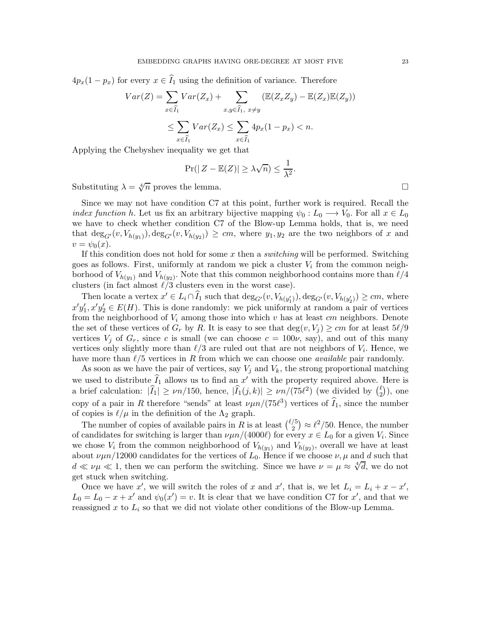$4p_x(1-p_x)$  for every  $x \in \hat{I}_1$  using the definition of variance. Therefore

$$
Var(Z) = \sum_{x \in \widehat{I}_1} Var(Z_x) + \sum_{x,y \in \widehat{I}_1, x \neq y} (\mathbb{E}(Z_x Z_y) - \mathbb{E}(Z_x)\mathbb{E}(Z_y))
$$
  

$$
\leq \sum_{x \in \widehat{I}_1} Var(Z_x) \leq \sum_{x \in \widehat{I}_1} 4p_x(1 - p_x) < n.
$$

Applying the Chebyshev inequality we get that

$$
\Pr(|Z - \mathbb{E}(Z)| \ge \lambda \sqrt{n}) \le \frac{1}{\lambda^2}.
$$

Substituting  $\lambda = \sqrt[4]{n}$  proves the lemma.

Since we may not have condition C7 at this point, further work is required. Recall the *index function h.* Let us fix an arbitrary bijective mapping  $\psi_0 : L_0 \longrightarrow V_0$ . For all  $x \in L_0$ we have to check whether condition C7 of the Blow-up Lemma holds, that is, we need that  $deg_{G'}(v, V_{h(y_1)})$ ,  $deg_{G'}(v, V_{h(y_2)}) \ge cm$ , where  $y_1, y_2$  are the two neighbors of x and  $v = \psi_0(x)$ .

If this condition does not hold for some  $x$  then a *switching* will be performed. Switching goes as follows. First, uniformly at random we pick a cluster  $V_i$  from the common neighborhood of  $V_{h(y_1)}$  and  $V_{h(y_2)}$ . Note that this common neighborhood contains more than  $\ell/4$ clusters (in fact almost  $\ell/3$  clusters even in the worst case).

Then locate a vertex  $x' \in L_i \cap \widehat{I}_1$  such that  $\deg_{G'}(v, V_{h(y'_1)})$ ,  $\deg_{G'}(v, V_{h(y'_2)}) \ge cm$ , where  $x'y'_1, x'y'_2 \in E(H)$ . This is done randomly: we pick uniformly at random a pair of vertices from the neighborhood of  $V_i$  among those into which v has at least cm neighbors. Denote the set of these vertices of  $G_r$  by R. It is easy to see that  $\deg(v, V_i) \geq cm$  for at least  $5\ell/9$ vertices  $V_j$  of  $G_r$ , since c is small (we can choose  $c = 100\nu$ , say), and out of this many vertices only slightly more than  $\ell/3$  are ruled out that are not neighbors of  $V_i$ . Hence, we have more than  $\ell/5$  vertices in R from which we can choose one *available* pair randomly.

As soon as we have the pair of vertices, say  $V_j$  and  $V_k$ , the strong proportional matching we used to distribute  $\widehat{I}_1$  allows us to find an x' with the property required above. Here is a brief calculation:  $|\widehat{I}_1| \ge \nu n/150$ , hence,  $|\widehat{I}_1(j,k)| \ge \nu n/(75\ell^2)$  (we divided by  $\binom{\ell}{2}$  $_{2}^{\ell}$ )), one copy of a pair in R therefore "sends" at least  $\nu\mu n/(75\ell^3)$  vertices of  $\tilde{I}_1$ , since the number of copies is  $\ell/\mu$  in the definition of the  $\Lambda_2$  graph.

The number of copies of available pairs in R is at least  $\binom{\ell/5}{2}$  $\ell_2^{(5)} \approx \ell^2/50$ . Hence, the number of candidates for switching is larger than  $\nu \mu n/(4000\ell)$  for every  $x \in L_0$  for a given  $V_i$ . Since we chose  $V_i$  from the common neighborhood of  $V_{h(y_1)}$  and  $V_{h(y_2)}$ , overall we have at least about  $\nu\mu n/12000$  candidates for the vertices of  $L_0$ . Hence if we choose  $\nu, \mu$  and d such that  $d \ll \nu\mu \ll 1$ , then we can perform the switching. Since we have  $\nu = \mu \approx \sqrt[4]{d}$ , we do not get stuck when switching.

Once we have x', we will switch the roles of x and x', that is, we let  $L_i = L_i + x - x'$ ,  $L_0 = L_0 - x + x'$  and  $\psi_0(x') = v$ . It is clear that we have condition C7 for x', and that we reassigned x to  $L_i$  so that we did not violate other conditions of the Blow-up Lemma.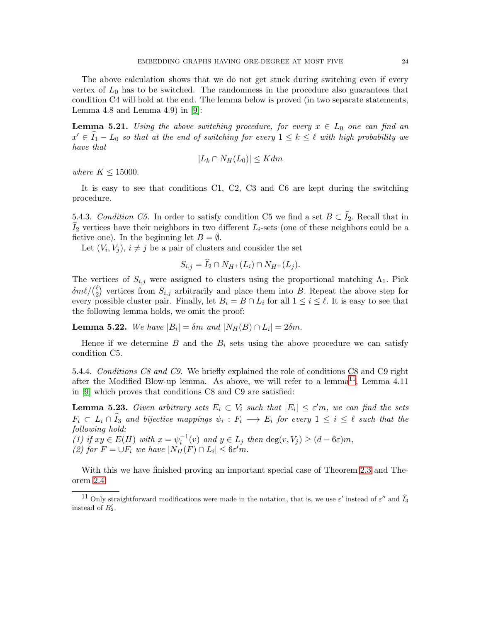The above calculation shows that we do not get stuck during switching even if every vertex of  $L_0$  has to be switched. The randomness in the procedure also guarantees that condition C4 will hold at the end. The lemma below is proved (in two separate statements, Lemma 4.8 and Lemma 4.9) in  $[9]$ :

**Lemma 5.21.** Using the above switching procedure, for every  $x \in L_0$  one can find an  $x' \in \hat{I}_1 - L_0$  so that at the end of switching for every  $1 \leq k \leq \ell$  with high probability we have that

$$
|L_k \cap N_H(L_0)| \leq K dm
$$

where  $K \leq 15000$ .

It is easy to see that conditions C1, C2, C3 and C6 are kept during the switching procedure.

5.4.3. Condition C5. In order to satisfy condition C5 we find a set  $B \subset \widehat{I}_2$ . Recall that in  $I_2$  vertices have their neighbors in two different  $L_i$ -sets (one of these neighbors could be a fictive one). In the beginning let  $B = \emptyset$ .

Let  $(V_i, V_j)$ ,  $i \neq j$  be a pair of clusters and consider the set

$$
S_{i,j} = \tilde{I}_2 \cap N_{H^+}(L_i) \cap N_{H^+}(L_j).
$$

The vertices of  $S_{i,j}$  were assigned to clusters using the proportional matching  $\Lambda_1$ . Pick  $\delta m \ell / ( \frac{\ell}{2}$  $_{2}^{\ell}$ ) vertices from  $S_{i,j}$  arbitrarily and place them into B. Repeat the above step for every possible cluster pair. Finally, let  $B_i = B \cap L_i$  for all  $1 \leq i \leq \ell$ . It is easy to see that the following lemma holds, we omit the proof:

**Lemma 5.22.** We have  $|B_i| = \delta m$  and  $|N_H(B) \cap L_i| = 2\delta m$ .

Hence if we determine  $B$  and the  $B_i$  sets using the above procedure we can satisfy condition C5.

5.4.4. Conditions C8 and C9. We briefly explained the role of conditions C8 and C9 right after the Modified Blow-up lemma. As above, we will refer to a lemma<sup>[11](#page-23-0)</sup>, Lemma 4.11 in [\[9\]](#page-38-9) which proves that conditions C8 and C9 are satisfied:

**Lemma 5.23.** Given arbitrary sets  $E_i \subset V_i$  such that  $|E_i| \leq \varepsilon' m$ , we can find the sets  $F_i \subset L_i \cap I_3$  and bijective mappings  $\psi_i : F_i \longrightarrow E_i$  for every  $1 \leq i \leq \ell$  such that the following hold:

(1) if  $xy \in E(H)$  with  $x = \psi_i^{-1}(v)$  and  $y \in L_j$  then  $\deg(v, V_j) \ge (d - 6\varepsilon)m$ , (2) for  $F = \bigcup F_i$  we have  $|N_H(F) \cap L_i| \leq 6\varepsilon' m$ .

With this we have finished proving an important special case of Theorem [2.3](#page-2-0) and Theorem [2.4:](#page-2-1)

<span id="page-23-0"></span><sup>&</sup>lt;sup>11</sup> Only straightforward modifications were made in the notation, that is, we use  $\varepsilon'$  instead of  $\varepsilon''$  and  $\widehat{I}_3$ instead of  $B'_2$ .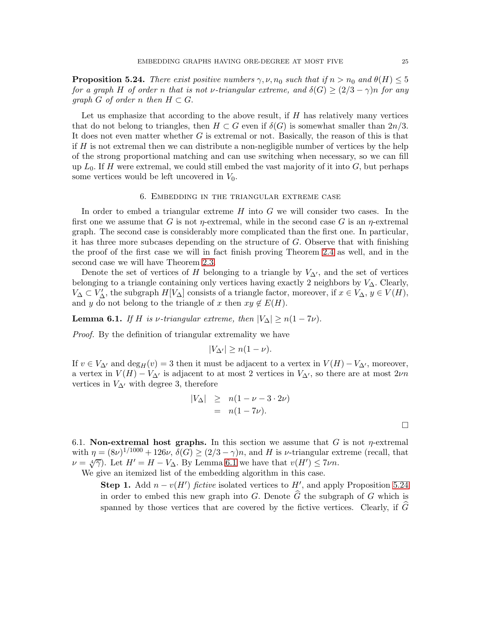<span id="page-24-2"></span>**Proposition 5.24.** There exist positive numbers  $\gamma, \nu, n_0$  such that if  $n > n_0$  and  $\theta(H) \leq 5$ for a graph H of order n that is not v-triangular extreme, and  $\delta(G) \geq (2/3 - \gamma)n$  for any graph G of order n then  $H \subset G$ .

Let us emphasize that according to the above result, if  $H$  has relatively many vertices that do not belong to triangles, then  $H \subset G$  even if  $\delta(G)$  is somewhat smaller than  $2n/3$ . It does not even matter whether G is extremal or not. Basically, the reason of this is that if  $H$  is not extremal then we can distribute a non-negligible number of vertices by the help of the strong proportional matching and can use switching when necessary, so we can fill up  $L_0$ . If H were extremal, we could still embed the vast majority of it into  $G$ , but perhaps some vertices would be left uncovered in  $V_0$ .

### 6. Embedding in the triangular extreme case

<span id="page-24-0"></span>In order to embed a triangular extreme  $H$  into  $G$  we will consider two cases. In the first one we assume that G is not  $\eta$ -extremal, while in the second case G is an  $\eta$ -extremal graph. The second case is considerably more complicated than the first one. In particular, it has three more subcases depending on the structure of G. Observe that with finishing the proof of the first case we will in fact finish proving Theorem [2.4](#page-2-1) as well, and in the second case we will have Theorem [2.3.](#page-2-0)

Denote the set of vertices of H belonging to a triangle by  $V_{\Delta'}$ , and the set of vertices belonging to a triangle containing only vertices having exactly 2 neighbors by  $V_{\Delta}$ . Clearly,  $V_{\Delta} \subset V'_{\Delta}$ , the subgraph  $H[V_{\Delta}]$  consists of a triangle factor, moreover, if  $x \in V_{\Delta}$ ,  $y \in V(H)$ , and y do not belong to the triangle of x then  $xy \notin E(H)$ .

<span id="page-24-1"></span>**Lemma 6.1.** If H is v-triangular extreme, then  $|V_{\Delta}| \ge n(1 - 7\nu)$ .

Proof. By the definition of triangular extremality we have

$$
|V_{\Delta'}| \ge n(1-\nu).
$$

If  $v \in V_{\Delta'}$  and  $\deg_H(v) = 3$  then it must be adjacent to a vertex in  $V(H) - V_{\Delta'}$ , moreover, a vertex in  $V(H) - V_{\Delta'}$  is adjacent to at most 2 vertices in  $V_{\Delta'}$ , so there are at most 2*vn* vertices in  $V_{\Delta}$ ′ with degree 3, therefore

$$
|V_{\Delta}| \geq n(1 - \nu - 3 \cdot 2\nu)
$$
  
=  $n(1 - 7\nu).$ 

6.1. Non-extremal host graphs. In this section we assume that G is not  $\eta$ -extremal with  $\eta = (8\nu)^{1/1000} + 126\nu$ ,  $\delta(G) \ge (2/3 - \gamma)n$ , and H is *v*-triangular extreme (recall, that  $\nu = \sqrt[4]{7}$ . Let  $H' = H - V_{\Delta}$ . By Lemma [6.1](#page-24-1) we have that  $v(H') \le 7\nu n$ .

We give an itemized list of the embedding algorithm in this case.

**Step 1.** Add  $n - v(H')$  fictive isolated vertices to  $H'$ , and apply Proposition [5.24](#page-24-2) in order to embed this new graph into G. Denote  $\tilde{G}$  the subgraph of G which is spanned by those vertices that are covered by the fictive vertices. Clearly, if  $G$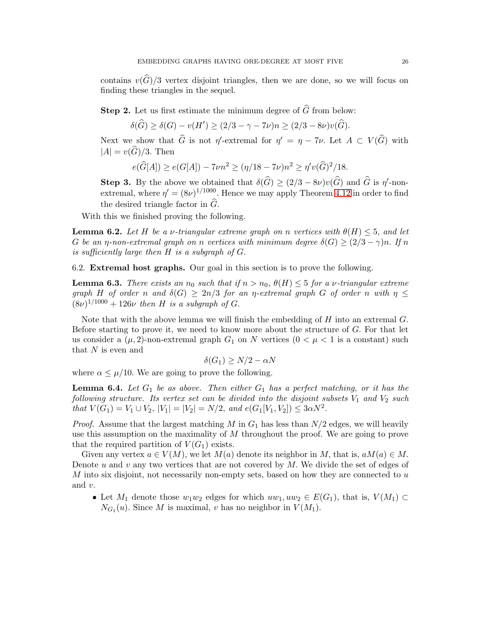contains  $v(\hat{G})/3$  vertex disjoint triangles, then we are done, so we will focus on finding these triangles in the sequel.

**Step 2.** Let us first estimate the minimum degree of  $\widehat{G}$  from below:

 $\delta(\widehat{G}) \geq \delta(G) - v(H') \geq (2/3 - \gamma - 7\nu)n \geq (2/3 - 8\nu)v(\widehat{G}).$ 

Next we show that  $\hat{G}$  is not  $\eta'$ -extremal for  $\eta' = \eta - 7\nu$ . Let  $A \subset V(\hat{G})$  with  $|A| = v(\widehat{G})/3$ . Then

$$
e(\widehat{G}[A]) \ge e(G[A]) - 7\nu n^2 \ge (\eta/18 - 7\nu)n^2 \ge \eta' v(\widehat{G})^2/18.
$$

**Step 3.** By the above we obtained that  $\delta(\widehat{G}) \geq (2/3 - 8\nu)v(\widehat{G})$  and  $\widehat{G}$  is  $\eta'$ -nonextremal, where  $\eta' = (8\nu)^{1/1000}$ . Hence we may apply Theorem [4.12](#page-8-1) in order to find the desired triangle factor in  $\widehat{G}$ .

With this we finished proving the following.

**Lemma 6.2.** Let H be a v-triangular extreme graph on n vertices with  $\theta(H) \leq 5$ , and let G be an  $\eta$ -non-extremal graph on n vertices with minimum degree  $\delta(G) \geq (2/3 - \gamma)n$ . If n is sufficiently large then H is a subgraph of G.

6.2. Extremal host graphs. Our goal in this section is to prove the following.

<span id="page-25-0"></span>**Lemma 6.3.** There exists an  $n_0$  such that if  $n > n_0$ ,  $\theta(H) \leq 5$  for a v-triangular extreme graph H of order n and  $\delta(G) \geq 2n/3$  for an  $\eta$ -extremal graph G of order n with  $\eta \leq$  $(8\nu)^{1/1000} + 126\nu$  then H is a subgraph of G.

Note that with the above lemma we will finish the embedding of  $H$  into an extremal  $G$ . Before starting to prove it, we need to know more about the structure of  $G$ . For that let us consider a  $(\mu, 2)$ -non-extremal graph  $G_1$  on N vertices  $(0 < \mu < 1$  is a constant) such that  $N$  is even and

$$
\delta(G_1) \ge N/2 - \alpha N
$$

where  $\alpha \leq \mu/10$ . We are going to prove the following.

<span id="page-25-1"></span>**Lemma 6.4.** Let  $G_1$  be as above. Then either  $G_1$  has a perfect matching, or it has the following structure. Its vertex set can be divided into the disjoint subsets  $V_1$  and  $V_2$  such that  $V(G_1) = V_1 \cup V_2$ ,  $|V_1| = |V_2| = N/2$ , and  $e(G_1[V_1, V_2]) \leq 3\alpha N^2$ .

*Proof.* Assume that the largest matching M in  $G_1$  has less than  $N/2$  edges, we will heavily use this assumption on the maximality of  $M$  throughout the proof. We are going to prove that the required partition of  $V(G_1)$  exists.

Given any vertex  $a \in V(M)$ , we let  $M(a)$  denote its neighbor in M, that is,  $aM(a) \in M$ . Denote u and v any two vertices that are not covered by  $M$ . We divide the set of edges of  $M$  into six disjoint, not necessarily non-empty sets, based on how they are connected to  $u$ and v.

• Let  $M_1$  denote those  $w_1w_2$  edges for which  $uw_1, uw_2 \in E(G_1)$ , that is,  $V(M_1) \subset$  $N_{G_1}(u)$ . Since M is maximal, v has no neighbor in  $V(M_1)$ .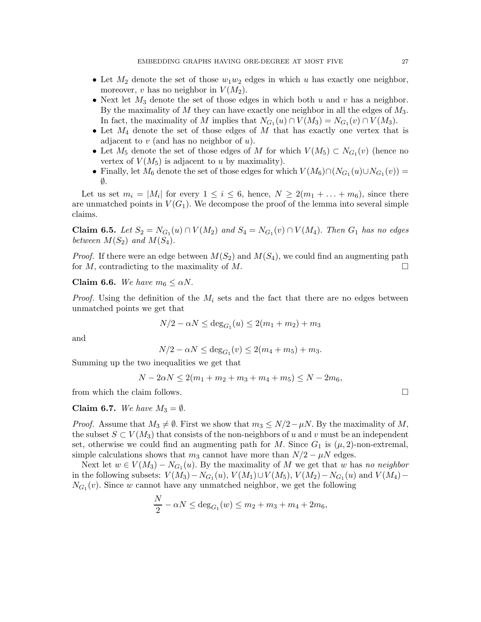- Let  $M_2$  denote the set of those  $w_1w_2$  edges in which u has exactly one neighbor, moreover, v has no neighbor in  $V(M_2)$ .
- Next let  $M_3$  denote the set of those edges in which both u and v has a neighbor. By the maximality of M they can have exactly one neighbor in all the edges of  $M_3$ . In fact, the maximality of M implies that  $N_{G_1}(u) \cap V(M_3) = N_{G_1}(v) \cap V(M_3)$ .
- Let  $M_4$  denote the set of those edges of M that has exactly one vertex that is adjacent to  $v$  (and has no neighbor of  $u$ ).
- Let  $M_5$  denote the set of those edges of M for which  $V(M_5) \subset N_{G_1}(v)$  (hence no vertex of  $V(M_5)$  is adjacent to u by maximality).
- Finally, let  $M_6$  denote the set of those edges for which  $V(M_6) \cap (N_{G_1}(u) \cup N_{G_1}(v)) =$ ∅.

Let us set  $m_i = |M_i|$  for every  $1 \leq i \leq 6$ , hence,  $N \geq 2(m_1 + \ldots + m_6)$ , since there are unmatched points in  $V(G_1)$ . We decompose the proof of the lemma into several simple claims.

**Claim 6.5.** Let  $S_2 = N_{G_1}(u) \cap V(M_2)$  and  $S_4 = N_{G_1}(v) \cap V(M_4)$ . Then  $G_1$  has no edges between  $M(S_2)$  and  $M(S_4)$ .

*Proof.* If there were an edge between  $M(S_2)$  and  $M(S_4)$ , we could find an augmenting path for M, contradicting to the maximality of M.

## Claim 6.6. We have  $m_6 \leq \alpha N$ .

*Proof.* Using the definition of the  $M_i$  sets and the fact that there are no edges between unmatched points we get that

$$
N/2 - \alpha N \le \deg_{G_1}(u) \le 2(m_1 + m_2) + m_3
$$

and

$$
N/2 - \alpha N \le \deg_{G_1}(v) \le 2(m_4 + m_5) + m_3.
$$

Summing up the two inequalities we get that

$$
N - 2\alpha N \le 2(m_1 + m_2 + m_3 + m_4 + m_5) \le N - 2m_6,
$$

from which the claim follows.  $\Box$ 

Claim 6.7. We have  $M_3 = \emptyset$ .

*Proof.* Assume that  $M_3 \neq \emptyset$ . First we show that  $m_3 \leq N/2 - \mu N$ . By the maximality of M, the subset  $S \subset V(M_3)$  that consists of the non-neighbors of u and v must be an independent set, otherwise we could find an augmenting path for M. Since  $G_1$  is  $(\mu, 2)$ -non-extremal, simple calculations shows that  $m_3$  cannot have more than  $N/2 - \mu N$  edges.

Next let  $w \in V(M_3) - N_{G_1}(u)$ . By the maximality of M we get that w has no neighbor in the following subsets:  $V(M_3) - N_{G_1}(u)$ ,  $V(M_1) \cup V(M_5)$ ,  $V(M_2) - N_{G_1}(u)$  and  $V(M_4) N_{G_1}(v)$ . Since w cannot have any unmatched neighbor, we get the following

$$
\frac{N}{2} - \alpha N \le \deg_{G_1}(w) \le m_2 + m_3 + m_4 + 2m_6,
$$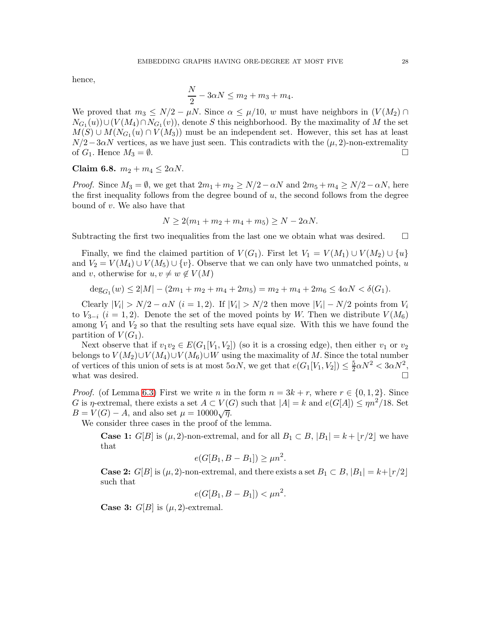hence,

$$
\frac{N}{2} - 3\alpha N \le m_2 + m_3 + m_4.
$$

We proved that  $m_3 \le N/2 - \mu N$ . Since  $\alpha \le \mu/10$ , w must have neighbors in  $(V(M_2) \cap$  $N_{G_1}(u)$ )∪( $V(M_4) \cap N_{G_1}(v)$ ), denote S this neighborhood. By the maximality of M the set  $M(S) \cup M(N_{G_1}(u) \cap V(M_3))$  must be an independent set. However, this set has at least  $N/2-3\alpha N$  vertices, as we have just seen. This contradicts with the  $(\mu, 2)$ -non-extremality of  $G_1$ . Hence  $M_3 = \emptyset$ . of  $G_1$ . Hence  $M_3 = \emptyset$ .

Claim 6.8. 
$$
m_2 + m_4 \leq 2\alpha N
$$
.

*Proof.* Since  $M_3 = \emptyset$ , we get that  $2m_1 + m_2 \ge N/2 - \alpha N$  and  $2m_5 + m_4 \ge N/2 - \alpha N$ , here the first inequality follows from the degree bound of  $u$ , the second follows from the degree bound of v. We also have that

$$
N \ge 2(m_1 + m_2 + m_4 + m_5) \ge N - 2\alpha N.
$$

Subtracting the first two inequalities from the last one we obtain what was desired.  $\Box$ 

Finally, we find the claimed partition of  $V(G_1)$ . First let  $V_1 = V(M_1) \cup V(M_2) \cup \{u\}$ and  $V_2 = V(M_4) \cup V(M_5) \cup \{v\}$ . Observe that we can only have two unmatched points, u and v, otherwise for  $u, v \neq w \notin V(M)$ 

$$
deg_{G_1}(w) \le 2|M| - (2m_1 + m_2 + m_4 + 2m_5) = m_2 + m_4 + 2m_6 \le 4\alpha N < \delta(G_1).
$$

Clearly  $|V_i| > N/2 - \alpha N$   $(i = 1, 2)$ . If  $|V_i| > N/2$  then move  $|V_i| - N/2$  points from  $V_i$ to  $V_{3-i}$  (i = 1, 2). Denote the set of the moved points by W. Then we distribute  $V(M_6)$ among  $V_1$  and  $V_2$  so that the resulting sets have equal size. With this we have found the partition of  $V(G_1)$ .

Next observe that if  $v_1v_2 \in E(G_1[V_1, V_2])$  (so it is a crossing edge), then either  $v_1$  or  $v_2$ belongs to  $V(M_2) \cup V(M_4) \cup V(M_6) \cup W$  using the maximality of M. Since the total number of vertices of this union of sets is at most  $5\alpha N$ , we get that  $e(G_1[V_1, V_2]) \leq \frac{5}{2}$  $\frac{5}{2}\alpha N^2 < 3\alpha N^2,$ what was desired.  $\Box$ 

*Proof.* (of Lemma [6.3\)](#page-25-0) First we write n in the form  $n = 3k + r$ , where  $r \in \{0, 1, 2\}$ . Since G is *η*-extremal, there exists a set  $A \subset V(G)$  such that  $|A| = k$  and  $e(G[A]) \leq \eta n^2/18$ . Set  $B = V(G) - A$ , and also set  $\mu = 10000\sqrt{\eta}$ .

We consider three cases in the proof of the lemma.

**Case 1:** G[B] is  $(\mu, 2)$ -non-extremal, and for all  $B_1 \subset B$ ,  $|B_1| = k + |r/2|$  we have that

$$
e(G[B_1, B - B_1]) \ge \mu n^2.
$$

**Case 2:** G[B] is  $(\mu, 2)$ -non-extremal, and there exists a set  $B_1 \subset B$ ,  $|B_1| = k + |r/2|$ such that

$$
e(G[B_1, B - B_1]) < \mu n^2.
$$

**Case 3:**  $G[B]$  is  $(\mu, 2)$ -extremal.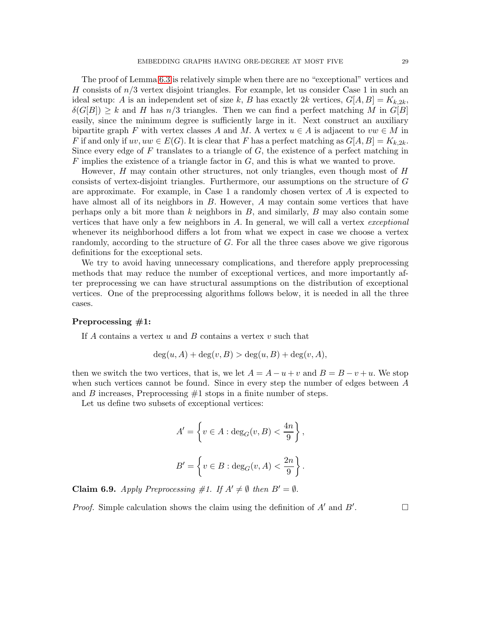The proof of Lemma [6.3](#page-25-0) is relatively simple when there are no "exceptional" vertices and H consists of  $n/3$  vertex disjoint triangles. For example, let us consider Case 1 in such an ideal setup: A is an independent set of size k, B has exactly 2k vertices,  $G[A, B] = K_{k,2k}$ ,  $\delta(G[B]) \geq k$  and H has  $n/3$  triangles. Then we can find a perfect matching M in  $G[B]$ easily, since the minimum degree is sufficiently large in it. Next construct an auxiliary bipartite graph F with vertex classes A and M. A vertex  $u \in A$  is adjacent to  $vw \in M$  in F if and only if  $uv, uw \in E(G)$ . It is clear that F has a perfect matching as  $G[A, B] = K_{k,2k}$ . Since every edge of  $F$  translates to a triangle of  $G$ , the existence of a perfect matching in  $F$  implies the existence of a triangle factor in  $G$ , and this is what we wanted to prove.

However,  $H$  may contain other structures, not only triangles, even though most of  $H$ consists of vertex-disjoint triangles. Furthermore, our assumptions on the structure of G are approximate. For example, in Case 1 a randomly chosen vertex of A is expected to have almost all of its neighbors in B. However, A may contain some vertices that have perhaps only a bit more than  $k$  neighbors in  $B$ , and similarly,  $B$  may also contain some vertices that have only a few neighbors in  $A$ . In general, we will call a vertex *exceptional* whenever its neighborhood differs a lot from what we expect in case we choose a vertex randomly, according to the structure of G. For all the three cases above we give rigorous definitions for the exceptional sets.

We try to avoid having unnecessary complications, and therefore apply preprocessing methods that may reduce the number of exceptional vertices, and more importantly after preprocessing we can have structural assumptions on the distribution of exceptional vertices. One of the preprocessing algorithms follows below, it is needed in all the three cases.

## Preprocessing #1:

If A contains a vertex  $u$  and  $B$  contains a vertex  $v$  such that

$$
\deg(u, A) + \deg(v, B) > \deg(u, B) + \deg(v, A),
$$

then we switch the two vertices, that is, we let  $A = A - u + v$  and  $B = B - v + u$ . We stop when such vertices cannot be found. Since in every step the number of edges between A and  $B$  increases, Preprocessing  $#1$  stops in a finite number of steps.

Let us define two subsets of exceptional vertices:

$$
A' = \left\{ v \in A : \deg_G(v, B) < \frac{4n}{9} \right\},\
$$
  

$$
B' = \left\{ v \in B : \deg_G(v, A) < \frac{2n}{9} \right\}.
$$

<span id="page-28-0"></span>**Claim 6.9.** Apply Preprocessing #1. If  $A' \neq \emptyset$  then  $B' = \emptyset$ .

*Proof.* Simple calculation shows the claim using the definition of  $A'$  and  $B'$ . . — П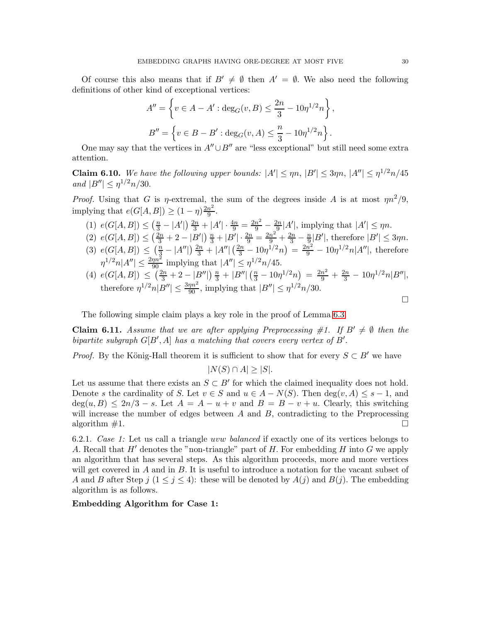Of course this also means that if  $B' \neq \emptyset$  then  $A' = \emptyset$ . We also need the following definitions of other kind of exceptional vertices:

$$
A'' = \left\{ v \in A - A' : \deg_G(v, B) \le \frac{2n}{3} - 10\eta^{1/2} n \right\},\
$$
  

$$
B'' = \left\{ v \in B - B' : \deg_G(v, A) \le \frac{n}{3} - 10\eta^{1/2} n \right\}.
$$

One may say that the vertices in  $A'' \cup B''$  are "less exceptional" but still need some extra attention.

<span id="page-29-1"></span>**Claim 6.10.** We have the following upper bounds:  $|A'| \le \eta n$ ,  $|B'| \le 3\eta n$ ,  $|A''| \le \eta^{1/2} n/45$ and  $|B''| \leq \eta^{1/2} n/30$ .

*Proof.* Using that G is  $\eta$ -extremal, the sum of the degrees inside A is at most  $\eta n^2/9$ , implying that  $e(G[A, B]) \geq (1 - \eta) \frac{2n^2}{9}$ . 9

- (1)  $e(G[A, B]) \leq (\frac{n}{3} |A'|) \frac{2n}{3} + |A'| \cdot \frac{4n}{9} = \frac{2n^2}{9} \frac{2n}{9}$  $\frac{2n}{9}$ |A'|, implying that  $|A'| \le \eta n$ .
- (2)  $e(G[A, B]) \leq (\frac{2n}{3} + 2 |B'|) \frac{n}{3} + |B'| \cdot \frac{2n}{9} = \frac{2n^2}{9} + \frac{2n}{3} \frac{n}{9}$  $\frac{1}{9}$  $|B'|$ , therefore  $|B'| \leq 3\eta n$ . (3)  $e(G[A, B]) \leq (\frac{n}{3} - |A''|) \frac{2n}{3} + |A''| (\frac{2n}{3} - 10\eta^{1/2} n) = \frac{2n^2}{9} - 10\eta^{1/2} n |A''|$ , therefore
- $\eta^{1/2} n |A''| \le \frac{2\eta n^2}{90}$  implying that  $|A''| \le \eta^{1/2} n / 45$ . (4)  $e(G[A, B]) \leq \left(\frac{2n}{3} + 2 - |B''|\right) \frac{n}{3} + |B''| \left(\frac{n}{3} - 10\eta^{1/2} n\right) = \frac{2n^2}{9} + \frac{2n}{3} - 10\eta^{1/2} n |B''|,$ therefore  $\eta^{1/2} n |B''| \le \frac{3\eta n^2}{90}$ , implying that  $|B''| \le \eta^{1/2} n/30$ .

The following simple claim plays a key role in the proof of Lemma [6.3.](#page-25-0)

<span id="page-29-0"></span>**Claim 6.11.** Assume that we are after applying Preprocessing #1. If  $B' \neq \emptyset$  then the bipartite subgraph  $G[B', A]$  has a matching that covers every vertex of  $B'$ .

*Proof.* By the König-Hall theorem it is sufficient to show that for every  $S \subset B'$  we have

 $|N(S) \cap A| > |S|$ .

Let us assume that there exists an  $S \subset B'$  for which the claimed inequality does not hold. Denote s the cardinality of S. Let  $v \in S$  and  $u \in A - N(S)$ . Then  $deg(v, A) \leq s - 1$ , and  $deg(u, B) \leq 2n/3 - s$ . Let  $A = A - u + v$  and  $B = B - v + u$ . Clearly, this switching will increase the number of edges between  $A$  and  $B$ , contradicting to the Preprocessing algorithm  $\#1$ .

6.2.1. Case 1: Let us call a triangle uvw balanced if exactly one of its vertices belongs to A. Recall that  $H'$  denotes the "non-triangle" part of H. For embedding H into G we apply an algorithm that has several steps. As this algorithm proceeds, more and more vertices will get covered in A and in B. It is useful to introduce a notation for the vacant subset of A and B after Step  $j$   $(1 \leq j \leq 4)$ : these will be denoted by  $A(j)$  and  $B(j)$ . The embedding algorithm is as follows.

Embedding Algorithm for Case 1:

 $\Box$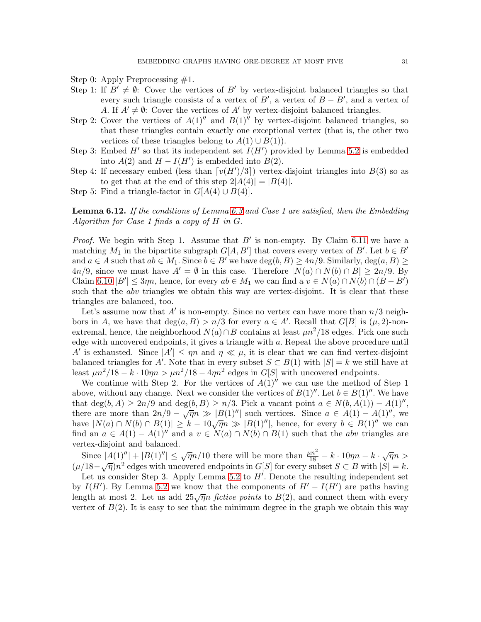Step 0: Apply Preprocessing #1.

- Step 1: If  $B' \neq \emptyset$ : Cover the vertices of B' by vertex-disjoint balanced triangles so that every such triangle consists of a vertex of  $B'$ , a vertex of  $B - B'$ , and a vertex of A. If  $A' \neq \emptyset$ : Cover the vertices of A' by vertex-disjoint balanced triangles.
- Step 2: Cover the vertices of  $A(1)''$  and  $B(1)''$  by vertex-disjoint balanced triangles, so that these triangles contain exactly one exceptional vertex (that is, the other two vertices of these triangles belong to  $A(1) \cup B(1)$ .
- Step 3: Embed  $H'$  so that its independent set  $I(H')$  provided by Lemma [5.2](#page-10-1) is embedded into  $A(2)$  and  $H - I(H')$  is embedded into  $B(2)$ .
- Step 4: If necessary embed (less than  $\lceil v(H')/3 \rceil$ ) vertex-disjoint triangles into  $B(3)$  so as to get that at the end of this step  $2|A(4)| = |B(4)|$ .
- Step 5: Find a triangle-factor in  $G[A(4) \cup B(4)]$ .

<span id="page-30-0"></span>**Lemma 6.12.** If the conditions of Lemma [6.3](#page-25-0) and Case 1 are satisfied, then the Embedding Algorithm for Case 1 finds a copy of H in G.

*Proof.* We begin with Step 1. Assume that  $B'$  is non-empty. By Claim [6.11](#page-29-0) we have a matching  $M_1$  in the bipartite subgraph  $G[A, B']$  that covers every vertex of  $B'$ . Let  $b \in B'$ and  $a \in A$  such that  $ab \in M_1$ . Since  $b \in B'$  we have  $\deg(b, B) \ge 4n/9$ . Similarly,  $\deg(a, B) \ge$  $4n/9$ , since we must have  $A' = \emptyset$  in this case. Therefore  $|N(a) \cap N(b) \cap B| \geq 2n/9$ . By Claim [6.10](#page-29-1)  $|B'| \leq 3\eta n$ , hence, for every  $ab \in M_1$  we can find a  $v \in N(a) \cap N(b) \cap (B - B')$ such that the *abv* triangles we obtain this way are vertex-disjoint. It is clear that these triangles are balanced, too.

Let's assume now that  $A'$  is non-empty. Since no vertex can have more than  $n/3$  neighbors in A, we have that  $deg(a, B) > n/3$  for every  $a \in A'$ . Recall that  $G[B]$  is  $(\mu, 2)$ -nonextremal, hence, the neighborhood  $N(a) \cap B$  contains at least  $\mu n^2/18$  edges. Pick one such edge with uncovered endpoints, it gives a triangle with a. Repeat the above procedure until A' is exhausted. Since  $|A'| \le \eta n$  and  $\eta \ll \mu$ , it is clear that we can find vertex-disjoint balanced triangles for A'. Note that in every subset  $S \subset B(1)$  with  $|S| = k$  we still have at least  $\mu n^2/18 - k \cdot 10\eta n > \mu n^2/18 - 4\eta n^2$  edges in  $G[S]$  with uncovered endpoints.

We continue with Step 2. For the vertices of  $A(1)$ <sup>n</sup> we can use the method of Step 1 above, without any change. Next we consider the vertices of  $B(1)''$ . Let  $b \in B(1)''$ . We have that deg(b, A)  $\geq 2n/9$  and deg(b, B)  $\geq n/3$ . Pick a vacant point  $a \in N(b, A(1)) - A(1)''$ , there are more than  $2n/9 - \sqrt{\eta}n \gg |B(1)''|$  such vertices. Since  $a \in A(1) - A(1)''$ , we have  $|N(a) \cap N(b) \cap B(1)| \geq k - 10\sqrt{\eta}n \gg |B(1)^{''}|$ , hence, for every  $b \in B(1)^{''}$  we can find an  $a \in A(1) - A(1)''$  and  $a v \in N(a) \cap N(b) \cap B(1)$  such that the abv triangles are vertex-disjoint and balanced.

Since  $|A(1)| + |B(1)|' | \leq \sqrt{\eta} n/10$  there will be more than  $\frac{\mu n^2}{18} - k \cdot 10\eta n - k \cdot \sqrt{\eta} n >$  $(\mu/18-\sqrt{\eta})n^2$  edges with uncovered endpoints in  $G[S]$  for every subset  $S \subset B$  with  $|S| = k$ .

Let us consider Step 3. Apply Lemma [5.2](#page-10-1) to  $H'$ . Denote the resulting independent set by  $I(H')$ . By Lemma [5.2](#page-10-1) we know that the components of  $H' - I(H')$  are paths having length at most 2. Let us add  $25\sqrt{\eta}n$  fictive points to  $B(2)$ , and connect them with every vertex of  $B(2)$ . It is easy to see that the minimum degree in the graph we obtain this way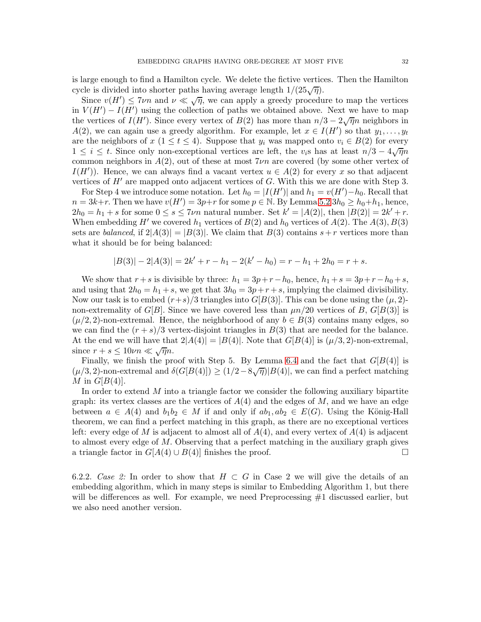is large enough to find a Hamilton cycle. We delete the fictive vertices. Then the Hamilton cycle is divided into shorter paths having average length  $1/(25\sqrt{\eta})$ .

Since  $v(H') \le 7\nu n$  and  $\nu \ll \sqrt{\eta}$ , we can apply a greedy procedure to map the vertices in  $V(H') - I(H')$  using the collection of paths we obtained above. Next we have to map the vertices of  $I(H')$ . Since every vertex of  $B(2)$  has more than  $n/3 - 2\sqrt{\eta}n$  neighbors in  $A(2)$ , we can again use a greedy algorithm. For example, let  $x \in I(H')$  so that  $y_1, \ldots, y_t$ are the neighbors of  $x (1 \le t \le 4)$ . Suppose that  $y_i$  was mapped onto  $v_i \in B(2)$  for every 1 ≤ i ≤ t. Since only non-exceptional vertices are left, the v<sub>i</sub>s has at least  $n/3 - 4\sqrt{n}n$ common neighbors in  $A(2)$ , out of these at most  $7\nu n$  are covered (by some other vertex of  $I(H')$ ). Hence, we can always find a vacant vertex  $u \in A(2)$  for every x so that adjacent vertices of  $H'$  are mapped onto adjacent vertices of  $G$ . With this we are done with Step 3.

For Step 4 we introduce some notation. Let  $h_0 = |I(H')|$  and  $h_1 = v(H') - h_0$ . Recall that  $n = 3k+r$ . Then we have  $v(H') = 3p+r$  for some  $p \in \mathbb{N}$ . By Lemma [5.2](#page-10-1)  $3h_0 \geq h_0+h_1$ , hence,  $2h_0 = h_1 + s$  for some  $0 \le s \le 7\nu n$  natural number. Set  $k' = |A(2)|$ , then  $|B(2)| = 2k' + r$ . When embedding H' we covered  $h_1$  vertices of  $B(2)$  and  $h_0$  vertices of  $A(2)$ . The  $A(3)$ ,  $B(3)$ sets are balanced, if  $2|A(3)| = |B(3)|$ . We claim that  $B(3)$  contains  $s+r$  vertices more than what it should be for being balanced:

$$
|B(3)| - 2|A(3)| = 2k' + r - h_1 - 2(k' - h_0) = r - h_1 + 2h_0 = r + s.
$$

We show that  $r+s$  is divisible by three:  $h_1 = 3p+r-h_0$ , hence,  $h_1 + s = 3p+r-h_0 + s$ , and using that  $2h_0 = h_1 + s$ , we get that  $3h_0 = 3p + r + s$ , implying the claimed divisibility. Now our task is to embed  $(r+s)/3$  triangles into  $G[B(3)]$ . This can be done using the  $(\mu, 2)$ non-extremality of  $G[B]$ . Since we have covered less than  $\mu n/20$  vertices of B,  $G[B(3)]$  is  $(\mu/2, 2)$ -non-extremal. Hence, the neighborhood of any  $b \in B(3)$  contains many edges, so we can find the  $(r + s)/3$  vertex-disjoint triangles in  $B(3)$  that are needed for the balance. At the end we will have that  $2|A(4)| = |B(4)|$ . Note that  $G[B(4)]$  is  $(\mu/3, 2)$ -non-extremal, since  $r + s \leq 10\nu n \ll \sqrt{\eta}n$ .

Finally, we finish the proof with Step 5. By Lemma [6.4](#page-25-1) and the fact that  $G[B(4)]$  is  $(\mu/3, 2)$ -non-extremal and  $\delta(G[B(4)]) \ge (1/2 - 8\sqrt{\eta})|B(4)|$ , we can find a perfect matching M in  $G[B(4)].$ 

In order to extend  $M$  into a triangle factor we consider the following auxiliary bipartite graph: its vertex classes are the vertices of  $A(4)$  and the edges of M, and we have an edge between  $a \in A(4)$  and  $b_1b_2 \in M$  if and only if  $ab_1, ab_2 \in E(G)$ . Using the König-Hall theorem, we can find a perfect matching in this graph, as there are no exceptional vertices left: every edge of M is adjacent to almost all of  $A(4)$ , and every vertex of  $A(4)$  is adjacent to almost every edge of  $M$ . Observing that a perfect matching in the auxiliary graph gives a triangle factor in  $G[A(4) \cup B(4)]$  finishes the proof.

6.2.2. Case 2: In order to show that  $H \subset G$  in Case 2 we will give the details of an embedding algorithm, which in many steps is similar to Embedding Algorithm 1, but there will be differences as well. For example, we need Preprocessing #1 discussed earlier, but we also need another version.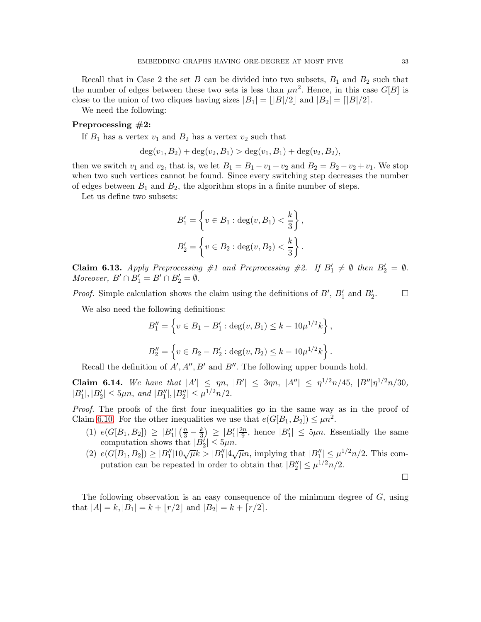Recall that in Case 2 the set B can be divided into two subsets,  $B_1$  and  $B_2$  such that the number of edges between these two sets is less than  $\mu n^2$ . Hence, in this case  $G[B]$  is close to the union of two cliques having sizes  $|B_1| = ||B|/2$  and  $|B_2| = |B|/2$ .

We need the following:

# Preprocessing #2:

If  $B_1$  has a vertex  $v_1$  and  $B_2$  has a vertex  $v_2$  such that

$$
\deg(v_1, B_2) + \deg(v_2, B_1) > \deg(v_1, B_1) + \deg(v_2, B_2),
$$

then we switch  $v_1$  and  $v_2$ , that is, we let  $B_1 = B_1 - v_1 + v_2$  and  $B_2 = B_2 - v_2 + v_1$ . We stop when two such vertices cannot be found. Since every switching step decreases the number of edges between  $B_1$  and  $B_2$ , the algorithm stops in a finite number of steps.

Let us define two subsets:

$$
B'_{1} = \left\{ v \in B_{1} : \deg(v, B_{1}) < \frac{k}{3} \right\},\,
$$
  

$$
B'_{2} = \left\{ v \in B_{2} : \deg(v, B_{2}) < \frac{k}{3} \right\}.
$$

<span id="page-32-0"></span>Claim 6.13. Apply Preprocessing #1 and Preprocessing #2. If  $B'_1 \neq \emptyset$  then  $B'_2 = \emptyset$ . Moreover,  $B' \cap B'_1 = B' \cap B'_2 = \emptyset$ .

*Proof.* Simple calculation shows the claim using the definitions of  $B'$ ,  $B'_1$  and  $B'_2$  $\Box$ 

We also need the following definitions:

$$
B_1'' = \left\{ v \in B_1 - B_1' : \deg(v, B_1) \le k - 10\mu^{1/2} k \right\},\
$$
  

$$
B_2'' = \left\{ v \in B_2 - B_2' : \deg(v, B_2) \le k - 10\mu^{1/2} k \right\}.
$$

Recall the definition of  $A', A'', B'$  and  $B''$ . The following upper bounds hold.

<span id="page-32-1"></span>Claim 6.14. We have that  $|A'| \leq \eta n$ ,  $|B'| \leq 3\eta n$ ,  $|A''| \leq \eta^{1/2} n/45$ ,  $|B''| \eta^{1/2} n/30$ ,  $|B'_1|, |B'_2| \leq 5\mu n$ , and  $|B''_1|, |B''_2| \leq \mu^{1/2} n/2$ .

Proof. The proofs of the first four inequalities go in the same way as in the proof of Claim [6.10.](#page-29-1) For the other inequalities we use that  $e(G[B_1, B_2]) \leq \mu n^2$ .

- (1)  $e(G[B_1, B_2]) \ge |B'_1| \left(\frac{n}{3} \frac{k}{3}\right)$  $\frac{k}{3}$   $\geq |B_1'| \frac{2n}{9}$  $\frac{2n}{9}$ , hence  $|B'_1| \leq 5\mu n$ . Essentially the same computation shows that  $|\tilde{B}'_2| \leq 5\mu n$ .
- (2)  $e(G[B_1, B_2]) \ge |B''_1| 10\sqrt{\mu k} > |B''_1| 4\sqrt{\mu}n$ , implying that  $|B''_1| \le \mu^{1/2}n/2$ . This computation can be repeated in order to obtain that  $|B_2''| \leq \mu^{1/2} n/2$ .

The following observation is an easy consequence of the minimum degree of G, using that  $|A| = k$ ,  $|B_1| = k + |r/2|$  and  $|B_2| = k + [r/2]$ .

 $\Box$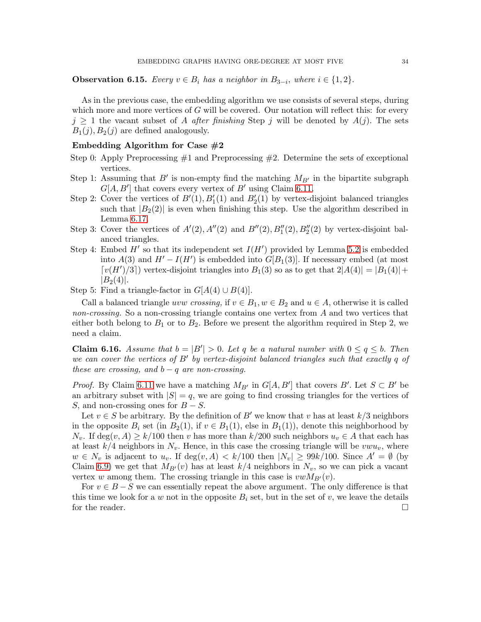<span id="page-33-1"></span>**Observation 6.15.** Every  $v \in B_i$  has a neighbor in  $B_{3-i}$ , where  $i \in \{1,2\}$ .

As in the previous case, the embedding algorithm we use consists of several steps, during which more and more vertices of  $G$  will be covered. Our notation will reflect this: for every  $j \geq 1$  the vacant subset of A after finishing Step j will be denoted by  $A(j)$ . The sets  $B_1(j), B_2(j)$  are defined analogously.

### Embedding Algorithm for Case  $#2$

- Step 0: Apply Preprocessing #1 and Preprocessing #2. Determine the sets of exceptional vertices.
- Step 1: Assuming that B' is non-empty find the matching  $M_{B'}$  in the bipartite subgraph  $G[A, B']$  that covers every vertex of  $B'$  using Claim [6.11.](#page-29-0)
- Step 2: Cover the vertices of  $B'(1)$ ,  $B'_1(1)$  and  $B'_2(1)$  by vertex-disjoint balanced triangles such that  $|B_2(2)|$  is even when finishing this step. Use the algorithm described in Lemma [6.17.](#page-34-0)
- Step 3: Cover the vertices of  $A'(2)$ ,  $A''(2)$  and  $B''(2)$ ,  $B''_1(2)$ ,  $B''_2(2)$  by vertex-disjoint balanced triangles.
- Step 4: Embed  $H'$  so that its independent set  $I(H')$  provided by Lemma [5.2](#page-10-1) is embedded into  $A(3)$  and  $H' - I(H')$  is embedded into  $G[B_1(3)]$ . If necessary embed (at most  $[v(H')/3]$  vertex-disjoint triangles into  $B_1(3)$  so as to get that  $2|A(4)| = |B_1(4)| +$  $|B_2(4)|.$

Step 5: Find a triangle-factor in  $G[A(4) \cup B(4)]$ .

Call a balanced triangle *uvw crossing*, if  $v \in B_1$ ,  $w \in B_2$  and  $u \in A$ , otherwise it is called non-crossing. So a non-crossing triangle contains one vertex from A and two vertices that either both belong to  $B_1$  or to  $B_2$ . Before we present the algorithm required in Step 2, we need a claim.

<span id="page-33-0"></span>**Claim 6.16.** Assume that  $b = |B'| > 0$ . Let q be a natural number with  $0 \le q \le b$ . Then we can cover the vertices of B' by vertex-disjoint balanced triangles such that exactly q of these are crossing, and  $b - q$  are non-crossing.

*Proof.* By Claim [6.11](#page-29-0) we have a matching  $M_{B'}$  in  $G[A, B']$  that covers B'. Let  $S \subset B'$  be an arbitrary subset with  $|S| = q$ , we are going to find crossing triangles for the vertices of S, and non-crossing ones for  $B - S$ .

Let  $v \in S$  be arbitrary. By the definition of B' we know that v has at least  $k/3$  neighbors in the opposite  $B_i$  set (in  $B_2(1)$ , if  $v \in B_1(1)$ , else in  $B_1(1)$ ), denote this neighborhood by  $N_v$ . If deg $(v, A) \geq k/100$  then v has more than  $k/200$  such neighbors  $u_v \in A$  that each has at least  $k/4$  neighbors in  $N_v$ . Hence, in this case the crossing triangle will be  $vww_v$ , where  $w \in N_v$  is adjacent to  $u_v$ . If  $\deg(v, A) < k/100$  then  $|N_v| \geq 99k/100$ . Since  $A' = \emptyset$  (by Claim [6.9\)](#page-28-0) we get that  $M_{B'}(v)$  has at least  $k/4$  neighbors in  $N_v$ , so we can pick a vacant vertex w among them. The crossing triangle in this case is  $vwM_{B'}(v)$ .

For  $v \in B - S$  we can essentially repeat the above argument. The only difference is that this time we look for a w not in the opposite  $B_i$  set, but in the set of v, we leave the details for the reader.  $\Box$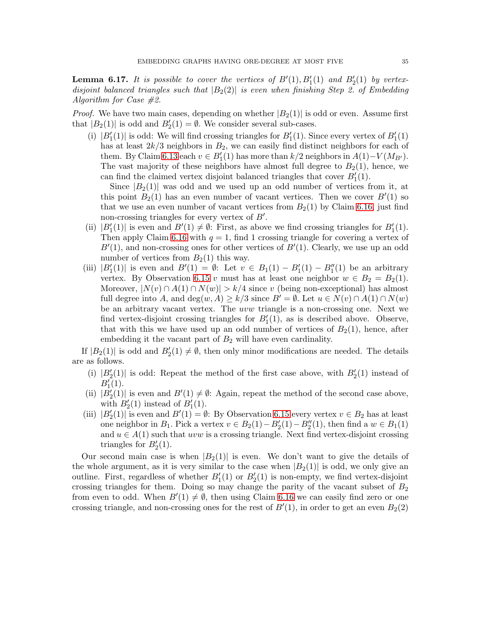<span id="page-34-0"></span>**Lemma 6.17.** It is possible to cover the vertices of  $B'(1), B'_1(1)$  and  $B'_2(1)$  by vertexdisjoint balanced triangles such that  $|B_2(2)|$  is even when finishing Step 2. of Embedding Algorithm for Case #2.

*Proof.* We have two main cases, depending on whether  $|B_2(1)|$  is odd or even. Assume first that  $|B_2(1)|$  is odd and  $B'_2(1) = \emptyset$ . We consider several sub-cases.

(i)  $|B'_{1}(1)|$  is odd: We will find crossing triangles for  $B'_{1}(1)$ . Since every vertex of  $B'_{1}(1)$ has at least  $2k/3$  neighbors in  $B_2$ , we can easily find distinct neighbors for each of them. By Claim [6.13](#page-32-0) each  $v \in B'_{1}(1)$  has more than  $k/2$  neighbors in  $A(1) - V(M_{B'})$ . The vast majority of these neighbors have almost full degree to  $B_2(1)$ , hence, we can find the claimed vertex disjoint balanced triangles that cover  $B'_{1}(1)$ .

Since  $|B_2(1)|$  was odd and we used up an odd number of vertices from it, at this point  $B_2(1)$  has an even number of vacant vertices. Then we cover  $B'(1)$  so that we use an even number of vacant vertices from  $B_2(1)$  by Claim [6.16,](#page-33-0) just find non-crossing triangles for every vertex of  $B'$ .

- (ii)  $|B'_1(1)|$  is even and  $B'(1) \neq \emptyset$ : First, as above we find crossing triangles for  $B'_1(1)$ . Then apply Claim [6.16](#page-33-0) with  $q = 1$ , find 1 crossing triangle for covering a vertex of  $B'(1)$ , and non-crossing ones for other vertices of  $B'(1)$ . Clearly, we use up an odd number of vertices from  $B_2(1)$  this way.
- (iii)  $|B_1'(1)|$  is even and  $B'(1) = \emptyset$ : Let  $v \in B_1(1) B_1'(1) B_1''(1)$  be an arbitrary vertex. By Observation [6.15](#page-33-1) v must has at least one neighbor  $w \in B_2 = B_2(1)$ . Moreover,  $|N(v) \cap A(1) \cap N(w)| > k/4$  since v (being non-exceptional) has almost full degree into A, and deg $(w, A) \geq k/3$  since  $B' = \emptyset$ . Let  $u \in N(v) \cap A(1) \cap N(w)$ be an arbitrary vacant vertex. The uvw triangle is a non-crossing one. Next we find vertex-disjoint crossing triangles for  $B'_{1}(1)$ , as is described above. Observe, that with this we have used up an odd number of vertices of  $B_2(1)$ , hence, after embedding it the vacant part of  $B_2$  will have even cardinality.

If  $|B_2(1)|$  is odd and  $B'_2(1) \neq \emptyset$ , then only minor modifications are needed. The details are as follows.

- (i)  $|B'_{2}(1)|$  is odd: Repeat the method of the first case above, with  $B'_{2}(1)$  instead of  $B'_{1}(1)$ .
- (ii)  $|B_2'(1)|$  is even and  $B'(1) \neq \emptyset$ : Again, repeat the method of the second case above, with  $B'_2(1)$  instead of  $B'_1(1)$ .
- (iii)  $|B'_2(1)|$  is even and  $B'(1) = \emptyset$ : By Observation [6.15](#page-33-1) every vertex  $v \in B_2$  has at least one neighbor in  $B_1$ . Pick a vertex  $v \in B_2(1) - B'_2(1) - B''_2(1)$ , then find a  $w \in B_1(1)$ and  $u \in A(1)$  such that uvw is a crossing triangle. Next find vertex-disjoint crossing triangles for  $B'_2(1)$ .

Our second main case is when  $|B_2(1)|$  is even. We don't want to give the details of the whole argument, as it is very similar to the case when  $|B_2(1)|$  is odd, we only give an outline. First, regardless of whether  $B'_{1}(1)$  or  $B'_{2}(1)$  is non-empty, we find vertex-disjoint crossing triangles for them. Doing so may change the parity of the vacant subset of  $B_2$ from even to odd. When  $B'(1) \neq \emptyset$ , then using Claim [6.16](#page-33-0) we can easily find zero or one crossing triangle, and non-crossing ones for the rest of  $B'(1)$ , in order to get an even  $B_2(2)$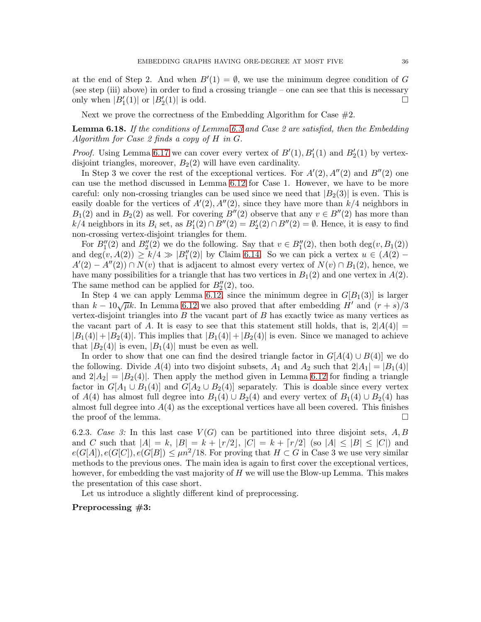at the end of Step 2. And when  $B'(1) = \emptyset$ , we use the minimum degree condition of G (see step (iii) above) in order to find a crossing triangle – one can see that this is necessary only when  $|B'_1(1)|$  or  $|B'_2(1)|$  is odd.

Next we prove the correctness of the Embedding Algorithm for Case  $#2$ .

<span id="page-35-0"></span>**Lemma 6.18.** If the conditions of Lemma [6.3](#page-25-0) and Case 2 are satisfied, then the Embedding Algorithm for Case 2 finds a copy of H in G.

*Proof.* Using Lemma [6.17](#page-34-0) we can cover every vertex of  $B'(1)$ ,  $B'_1(1)$  and  $B'_2(1)$  by vertexdisjoint triangles, moreover,  $B_2(2)$  will have even cardinality.

In Step 3 we cover the rest of the exceptional vertices. For  $A'(2)$ ,  $A''(2)$  and  $B''(2)$  one can use the method discussed in Lemma [6.12](#page-30-0) for Case 1. However, we have to be more careful: only non-crossing triangles can be used since we need that  $|B_2(3)|$  is even. This is easily doable for the vertices of  $A'(2)$ ,  $A''(2)$ , since they have more than  $k/4$  neighbors in  $B_1(2)$  and in  $B_2(2)$  as well. For covering  $B''(2)$  observe that any  $v \in B''(2)$  has more than k/4 neighbors in its  $B_i$  set, as  $B'_1(2) \cap B''(2) = B'_2(2) \cap B''(2) = \emptyset$ . Hence, it is easy to find non-crossing vertex-disjoint triangles for them.

For  $B''_1(2)$  and  $B''_2(2)$  we do the following. Say that  $v \in B''_1(2)$ , then both deg $(v, B_1(2))$ and deg $(v, A(2)) \ge k/4 \gg |B''_1(2)|$  by Claim [6.14.](#page-32-1) So we can pick a vertex  $u \in (A(2) A'(2) - A''(2) \cap N(v)$  that is adjacent to almost every vertex of  $N(v) \cap B_1(2)$ , hence, we have many possibilities for a triangle that has two vertices in  $B_1(2)$  and one vertex in  $A(2)$ . The same method can be applied for  $B''_2(2)$ , too.

In Step 4 we can apply Lemma [6.12,](#page-30-0) since the minimum degree in  $G[B_1(3)]$  is larger than  $k - 10\sqrt{\mu}k$ . In Lemma [6.12](#page-30-0) we also proved that after embedding  $H'$  and  $(r + s)/3$ vertex-disjoint triangles into  $B$  the vacant part of  $B$  has exactly twice as many vertices as the vacant part of A. It is easy to see that this statement still holds, that is,  $2|A(4)| =$  $|B_1(4)| + |B_2(4)|$ . This implies that  $|B_1(4)| + |B_2(4)|$  is even. Since we managed to achieve that  $|B_2(4)|$  is even,  $|B_1(4)|$  must be even as well.

In order to show that one can find the desired triangle factor in  $G[A(4) \cup B(4)]$  we do the following. Divide  $A(4)$  into two disjoint subsets,  $A_1$  and  $A_2$  such that  $2|A_1| = |B_1(4)|$ and  $2|A_2| = |B_2(4)|$ . Then apply the method given in Lemma [6.12](#page-30-0) for finding a triangle factor in  $G[A_1 \cup B_1(4)]$  and  $G[A_2 \cup B_2(4)]$  separately. This is doable since every vertex of  $A(4)$  has almost full degree into  $B_1(4) \cup B_2(4)$  and every vertex of  $B_1(4) \cup B_2(4)$  has almost full degree into  $A(4)$  as the exceptional vertices have all been covered. This finishes the proof of the lemma.

6.2.3. Case 3: In this last case  $V(G)$  can be partitioned into three disjoint sets, A, B and C such that  $|A| = k$ ,  $|B| = k + \lfloor r/2 \rfloor$ ,  $|C| = k + \lfloor r/2 \rfloor$  (so  $|A| \leq |B| \leq |C|$ ) and  $e(G[A]), e(G[C]), e(G[B]) \leq \mu n^2/18$ . For proving that  $H \subset G$  in Case 3 we use very similar methods to the previous ones. The main idea is again to first cover the exceptional vertices, however, for embedding the vast majority of  $H$  we will use the Blow-up Lemma. This makes the presentation of this case short.

Let us introduce a slightly different kind of preprocessing.

## Preprocessing #3: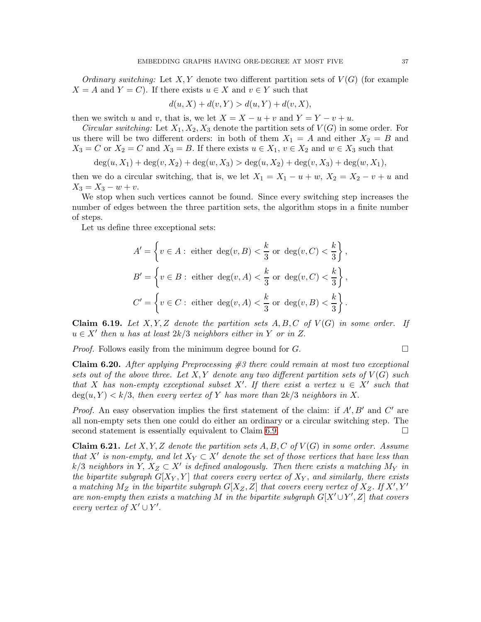Ordinary switching: Let X, Y denote two different partition sets of  $V(G)$  (for example  $X = A$  and  $Y = C$ ). If there exists  $u \in X$  and  $v \in Y$  such that

$$
d(u, X) + d(v, Y) > d(u, Y) + d(v, X),
$$

then we switch u and v, that is, we let  $X = X - u + v$  and  $Y = Y - v + u$ .

Circular switching: Let  $X_1, X_2, X_3$  denote the partition sets of  $V(G)$  in some order. For us there will be two different orders: in both of them  $X_1 = A$  and either  $X_2 = B$  and  $X_3 = C$  or  $X_2 = C$  and  $X_3 = B$ . If there exists  $u \in X_1$ ,  $v \in X_2$  and  $w \in X_3$  such that

$$
deg(u, X_1) + deg(v, X_2) + deg(w, X_3) > deg(u, X_2) + deg(v, X_3) + deg(w, X_1),
$$

then we do a circular switching, that is, we let  $X_1 = X_1 - u + w$ ,  $X_2 = X_2 - v + u$  and  $X_3 = X_3 - w + v.$ 

We stop when such vertices cannot be found. Since every switching step increases the number of edges between the three partition sets, the algorithm stops in a finite number of steps.

Let us define three exceptional sets:

$$
A' = \left\{ v \in A : \text{ either } \deg(v, B) < \frac{k}{3} \text{ or } \deg(v, C) < \frac{k}{3} \right\},
$$
\n
$$
B' = \left\{ v \in B : \text{ either } \deg(v, A) < \frac{k}{3} \text{ or } \deg(v, C) < \frac{k}{3} \right\},
$$
\n
$$
C' = \left\{ v \in C : \text{ either } \deg(v, A) < \frac{k}{3} \text{ or } \deg(v, B) < \frac{k}{3} \right\}.
$$

**Claim 6.19.** Let  $X, Y, Z$  denote the partition sets  $A, B, C$  of  $V(G)$  in some order. If  $u \in X'$  then u has at least  $2k/3$  neighbors either in Y or in Z.

*Proof.* Follows easily from the minimum degree bound for  $G$ .

<span id="page-36-0"></span>**Claim 6.20.** After applying Preprocessing  $\#3$  there could remain at most two exceptional sets out of the above three. Let X, Y denote any two different partition sets of  $V(G)$  such that X has non-empty exceptional subset X'. If there exist a vertex  $u \in X'$  such that  $deg(u, Y) < k/3$ , then every vertex of Y has more than  $2k/3$  neighbors in X.

*Proof.* An easy observation implies the first statement of the claim: if  $A'$ ,  $B'$  and  $C'$  are all non-empty sets then one could do either an ordinary or a circular switching step. The second statement is essentially equivalent to Claim [6.9.](#page-28-0)

<span id="page-36-1"></span>**Claim 6.21.** Let X, Y, Z denote the partition sets A, B, C of  $V(G)$  in some order. Assume that X' is non-empty, and let  $X_Y \subset X'$  denote the set of those vertices that have less than k/3 neighbors in Y,  $X_Z \subset X'$  is defined analogously. Then there exists a matching  $M_Y$  in the bipartite subgraph  $G[X_Y, Y]$  that covers every vertex of  $X_Y$ , and similarly, there exists a matching  $M_Z$  in the bipartite subgraph  $G[X_Z, Z]$  that covers every vertex of  $X_Z$ . If  $X', Y'$ are non-empty then exists a matching M in the bipartite subgraph  $G[X' \cup Y', Z]$  that covers every vertex of  $X' \cup Y'$ .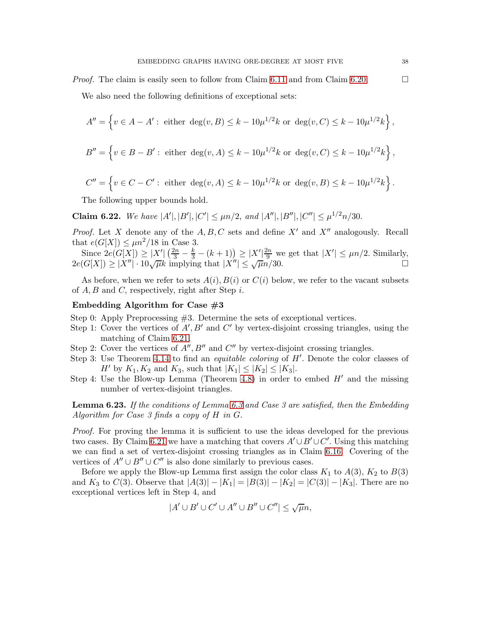*Proof.* The claim is easily seen to follow from Claim [6.11](#page-29-0) and from Claim [6.20.](#page-36-0)

We also need the following definitions of exceptional sets:

$$
A'' = \left\{ v \in A - A' : \text{ either } \deg(v, B) \le k - 10\mu^{1/2}k \text{ or } \deg(v, C) \le k - 10\mu^{1/2}k \right\},
$$
  

$$
B'' = \left\{ v \in B - B' : \text{ either } \deg(v, A) \le k - 10\mu^{1/2}k \text{ or } \deg(v, C) \le k - 10\mu^{1/2}k \right\},
$$
  

$$
C'' = \left\{ v \in C - C' : \text{ either } \deg(v, A) \le k - 10\mu^{1/2}k \text{ or } \deg(v, B) \le k - 10\mu^{1/2}k \right\}.
$$

The following upper bounds hold.

Claim 6.22. We have  $|A'|, |B'|, |C'| \leq \mu n/2$ , and  $|A''|, |B''|, |C''| \leq \mu^{1/2} n/30$ .

*Proof.* Let X denote any of the  $A, B, C$  sets and define  $X'$  and  $X''$  analogously. Recall that  $e(G[X]) \leq \mu n^2/18$  in Case 3.

Since  $2e(G[X]) \ge |X'| \left(\frac{2n}{3} - \frac{k}{3} - (k+1)\right) \ge |X'| \frac{2n}{9}$  we get that  $|X'| \le \mu n/2$ . Similarly,  $2e(G[X]) \ge |X''| \cdot 10\sqrt{\mu k}$  implying that  $|X''| \le \sqrt{\mu n}/30$ .

As before, when we refer to sets  $A(i), B(i)$  or  $C(i)$  below, we refer to the vacant subsets of  $A, B$  and  $C$ , respectively, right after Step i.

#### Embedding Algorithm for Case  $#3$

- Step 0: Apply Preprocessing #3. Determine the sets of exceptional vertices.
- Step 1: Cover the vertices of  $A', B'$  and  $C'$  by vertex-disjoint crossing triangles, using the matching of Claim [6.21.](#page-36-1)
- Step 2: Cover the vertices of  $A''$ ,  $B''$  and  $C''$  by vertex-disjoint crossing triangles.
- Step 3: Use Theorem [4.14](#page-8-2) to find an *equitable coloring* of H'. Denote the color classes of  $H'$  by  $K_1, K_2$  and  $K_3$ , such that  $|K_1| \leq |K_2| \leq |K_3|$ .
- Step 4: Use the Blow-up Lemma (Theorem [4.8\)](#page-6-3) in order to embed  $H'$  and the missing number of vertex-disjoint triangles.

<span id="page-37-0"></span>**Lemma 6.23.** If the conditions of Lemma [6.3](#page-25-0) and Case 3 are satisfied, then the Embedding Algorithm for Case 3 finds a copy of H in G.

Proof. For proving the lemma it is sufficient to use the ideas developed for the previous two cases. By Claim [6.21](#page-36-1) we have a matching that covers  $A' \cup B' \cup C'$ . Using this matching we can find a set of vertex-disjoint crossing triangles as in Claim [6.16.](#page-33-0) Covering of the vertices of  $A'' \cup B'' \cup C''$  is also done similarly to previous cases.

Before we apply the Blow-up Lemma first assign the color class  $K_1$  to  $A(3)$ ,  $K_2$  to  $B(3)$ and  $K_3$  to  $C(3)$ . Observe that  $|A(3)| - |K_1| = |B(3)| - |K_2| = |C(3)| - |K_3|$ . There are no exceptional vertices left in Step 4, and

$$
|A'\cup B'\cup C'\cup A''\cup B''\cup C''|\leq \sqrt{\mu}n,
$$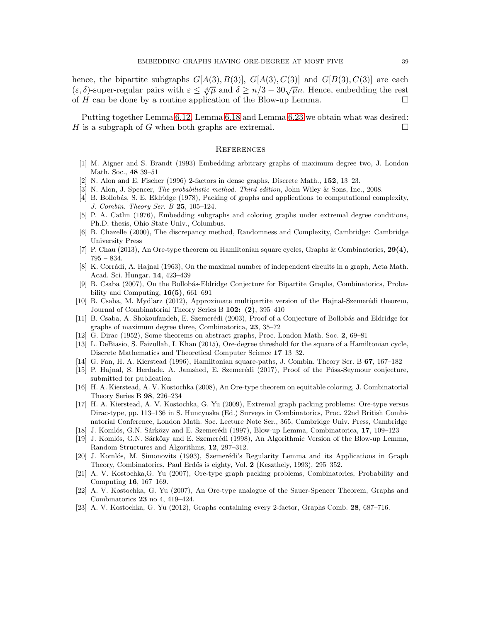hence, the bipartite subgraphs  $G[A(3), B(3)]$ ,  $G[A(3), C(3)]$  and  $G[B(3), C(3)]$  are each  $(\varepsilon, \delta)$ -super-regular pairs with  $\varepsilon \leq \sqrt[4]{\mu}$  and  $\delta \geq n/3 - 30\sqrt{\mu}n$ . Hence, embedding the rest of H can be done by a routine application of the Blow-up Lemma.  $\Box$ 

Putting together Lemma [6.12,](#page-30-0) Lemma [6.18](#page-35-0) and Lemma [6.23](#page-37-0) we obtain what was desired: H is a subgraph of G when both graphs are extremal.

#### **REFERENCES**

- <span id="page-38-5"></span><span id="page-38-4"></span>[1] M. Aigner and S. Brandt (1993) Embedding arbitrary graphs of maximum degree two, J. London Math. Soc., 48 39–51
- <span id="page-38-20"></span>[2] N. Alon and E. Fischer (1996) 2-factors in dense graphs, Discrete Math., 152, 13–23.
- <span id="page-38-7"></span>[3] N. Alon, J. Spencer, *The probabilistic method. Third edition*, John Wiley & Sons, Inc., 2008.
- <span id="page-38-8"></span>[4] B. Bollobás, S. E. Eldridge (1978), Packing of graphs and applications to computational complexity, J. Combin. Theory Ser. B 25, 105–124.
- [5] P. A. Catlin (1976), Embedding subgraphs and coloring graphs under extremal degree conditions, Ph.D. thesis, Ohio State Univ., Columbus.
- <span id="page-38-21"></span>[6] B. Chazelle (2000), The discrepancy method, Randomness and Complexity, Cambridge: Cambridge University Press
- <span id="page-38-13"></span><span id="page-38-11"></span>[7] P. Chau (2013), An Ore-type theorem on Hamiltonian square cycles, Graphs & Combinatorics, 29(4), 795 – 834.
- [8] K. Corrádi, A. Hajnal (1963), On the maximal number of independent circuits in a graph, Acta Math. Acad. Sci. Hungar. 14, 423–439
- <span id="page-38-9"></span>[9] B. Csaba (2007), On the Bollobás-Eldridge Conjecture for Bipartite Graphs, Combinatorics, Probability and Computing,  $16(5)$ ,  $661-691$
- [10] B. Csaba, M. Mydlarz (2012), Approximate multipartite version of the Hajnal-Szemerédi theorem, Journal of Combinatorial Theory Series B 102: (2), 395–410
- <span id="page-38-10"></span>[11] B. Csaba, A. Shokoufandeh, E. Szemerédi (2003), Proof of a Conjecture of Bollobás and Eldridge for graphs of maximum degree three, Combinatorica, 23, 35–72
- <span id="page-38-14"></span><span id="page-38-0"></span>[12] G. Dirac (1952), Some theorems on abstract graphs, Proc. London Math. Soc. 2, 69–81
- [13] L. DeBiasio, S. Faizullah, I. Khan (2015), Ore-degree threshold for the square of a Hamiltonian cycle, Discrete Mathematics and Theoretical Computer Science 17 13–32.
- <span id="page-38-18"></span><span id="page-38-12"></span>[14] G. Fan, H. A. Kierstead (1996), Hamiltonian square-paths, J. Combin. Theory Ser. B 67, 167–182
- [15] P. Hajnal, S. Herdade, A. Jamshed, E. Szemerédi (2017), Proof of the Pósa-Seymour conjecture, submitted for publication
- <span id="page-38-19"></span>[16] H. A. Kierstead, A. V. Kostochka (2008), An Ore-type theorem on equitable coloring, J. Combinatorial Theory Series B 98, 226–234
- <span id="page-38-1"></span>[17] H. A. Kierstead, A. V. Kostochka, G. Yu (2009), Extremal graph packing problems: Ore-type versus Dirac-type, pp. 113–136 in S. Huncynska (Ed.) Surveys in Combinatorics, Proc. 22nd British Combinatorial Conference, London Math. Soc. Lecture Note Ser., 365, Cambridge Univ. Press, Cambridge
- <span id="page-38-17"></span><span id="page-38-16"></span>[18] J. Komlós, G.N. Sárközy and E. Szemerédi (1997), Blow-up Lemma, Combinatorica,  $17$ ,  $109-123$
- [19] J. Komlós, G.N. Sárközy and E. Szemerédi (1998), An Algorithmic Version of the Blow-up Lemma, Random Structures and Algorithms, 12, 297–312.
- <span id="page-38-15"></span>[20] J. Komlós, M. Simonovits (1993), Szemerédi's Regularity Lemma and its Applications in Graph Theory, Combinatorics, Paul Erd˝os is eighty, Vol. 2 (Keszthely, 1993), 295–352.
- <span id="page-38-2"></span>[21] A. V. Kostochka,G. Yu (2007), Ore-type graph packing problems, Combinatorics, Probability and Computing 16, 167–169.
- <span id="page-38-3"></span>[22] A. V. Kostochka, G. Yu (2007), An Ore-type analogue of the Sauer-Spencer Theorem, Graphs and Combinatorics 23 no 4, 419–424.
- <span id="page-38-6"></span>[23] A. V. Kostochka, G. Yu (2012), Graphs containing every 2-factor, Graphs Comb. 28, 687–716.